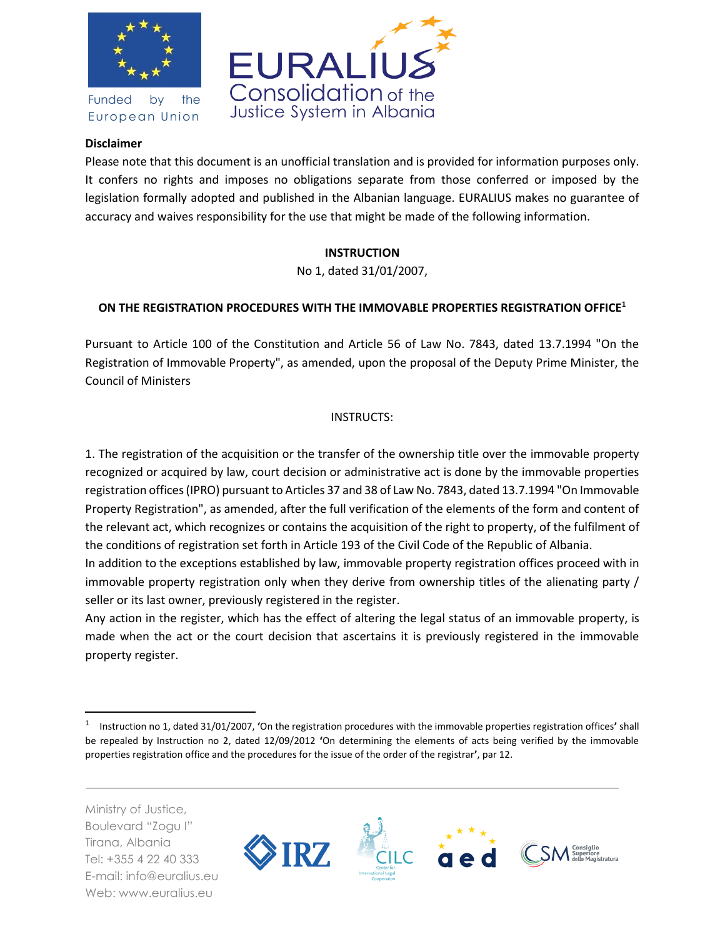

Funded by the European Union



## **Disclaimer**

Please note that this document is an unofficial translation and is provided for information purposes only. It confers no rights and imposes no obligations separate from those conferred or imposed by the legislation formally adopted and published in the Albanian language. EURALIUS makes no guarantee of accuracy and waives responsibility for the use that might be made of the following information.

# **INSTRUCTION**

No 1, dated 31/01/2007,

# **ON THE REGISTRATION PROCEDURES WITH THE IMMOVABLE PROPERTIES REGISTRATION OFFICE<sup>1</sup>**

Pursuant to Article 100 of the Constitution and Article 56 of Law No. 7843, dated 13.7.1994 "On the Registration of Immovable Property", as amended, upon the proposal of the Deputy Prime Minister, the Council of Ministers

# INSTRUCTS:

1. The registration of the acquisition or the transfer of the ownership title over the immovable property recognized or acquired by law, court decision or administrative act is done by the immovable properties registration offices (IPRO) pursuant to Articles 37 and 38 of Law No. 7843, dated 13.7.1994 "On Immovable Property Registration", as amended, after the full verification of the elements of the form and content of the relevant act, which recognizes or contains the acquisition of the right to property, of the fulfilment of the conditions of registration set forth in Article 193 of the Civil Code of the Republic of Albania.

In addition to the exceptions established by law, immovable property registration offices proceed with in immovable property registration only when they derive from ownership titles of the alienating party / seller or its last owner, previously registered in the register.

Any action in the register, which has the effect of altering the legal status of an immovable property, is made when the act or the court decision that ascertains it is previously registered in the immovable property register.

Ministry of Justice, Boulevard "Zogu I" Tirana, Albania Tel: +355 4 22 40 333 E-mail: info@euralius.eu Web: www.euralius.eu

 $\overline{\phantom{a}}$ 



<sup>1</sup> Instruction no 1, dated 31/01/2007, **'**On the registration procedures with the immovable properties registration offices**'** shall be repealed by Instruction no 2, dated 12/09/2012 **'**On determining the elements of acts being verified by the immovable properties registration office and the procedures for the issue of the order of the registrar**'**, par 12.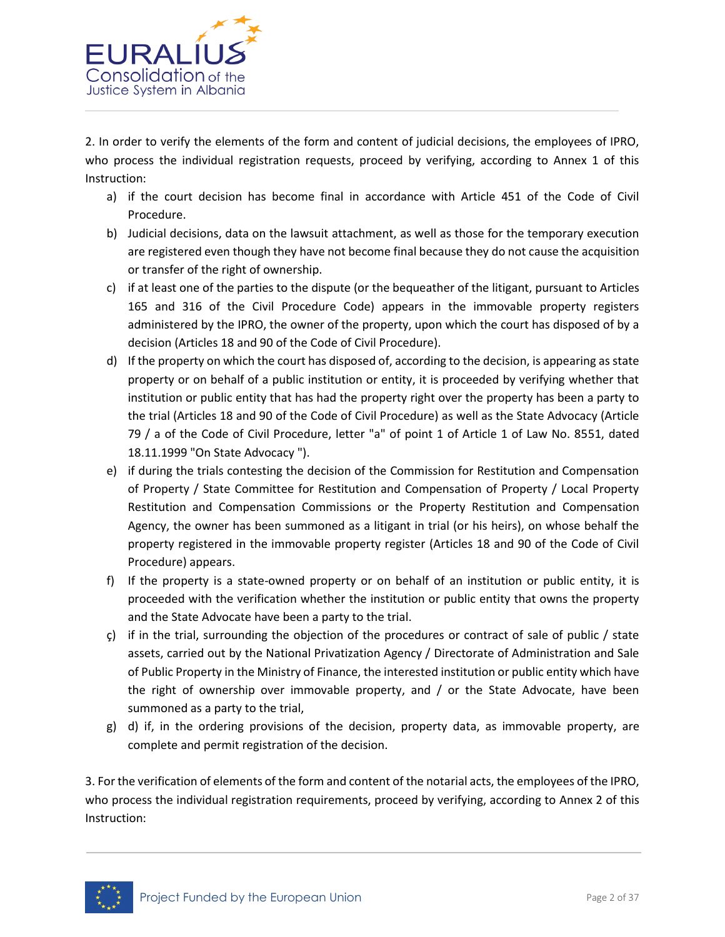

2. In order to verify the elements of the form and content of judicial decisions, the employees of IPRO, who process the individual registration requests, proceed by verifying, according to Annex 1 of this Instruction:

- a) if the court decision has become final in accordance with Article 451 of the Code of Civil Procedure.
- b) Judicial decisions, data on the lawsuit attachment, as well as those for the temporary execution are registered even though they have not become final because they do not cause the acquisition or transfer of the right of ownership.
- c) if at least one of the parties to the dispute (or the bequeather of the litigant, pursuant to Articles 165 and 316 of the Civil Procedure Code) appears in the immovable property registers administered by the IPRO, the owner of the property, upon which the court has disposed of by a decision (Articles 18 and 90 of the Code of Civil Procedure).
- d) If the property on which the court has disposed of, according to the decision, is appearing as state property or on behalf of a public institution or entity, it is proceeded by verifying whether that institution or public entity that has had the property right over the property has been a party to the trial (Articles 18 and 90 of the Code of Civil Procedure) as well as the State Advocacy (Article 79 / a of the Code of Civil Procedure, letter "a" of point 1 of Article 1 of Law No. 8551, dated 18.11.1999 "On State Advocacy ").
- e) if during the trials contesting the decision of the Commission for Restitution and Compensation of Property / State Committee for Restitution and Compensation of Property / Local Property Restitution and Compensation Commissions or the Property Restitution and Compensation Agency, the owner has been summoned as a litigant in trial (or his heirs), on whose behalf the property registered in the immovable property register (Articles 18 and 90 of the Code of Civil Procedure) appears.
- f) If the property is a state-owned property or on behalf of an institution or public entity, it is proceeded with the verification whether the institution or public entity that owns the property and the State Advocate have been a party to the trial.
- $\varsigma$ ) if in the trial, surrounding the objection of the procedures or contract of sale of public / state assets, carried out by the National Privatization Agency / Directorate of Administration and Sale of Public Property in the Ministry of Finance, the interested institution or public entity which have the right of ownership over immovable property, and / or the State Advocate, have been summoned as a party to the trial,
- g) d) if, in the ordering provisions of the decision, property data, as immovable property, are complete and permit registration of the decision.

3. For the verification of elements of the form and content of the notarial acts, the employees of the IPRO, who process the individual registration requirements, proceed by verifying, according to Annex 2 of this Instruction:

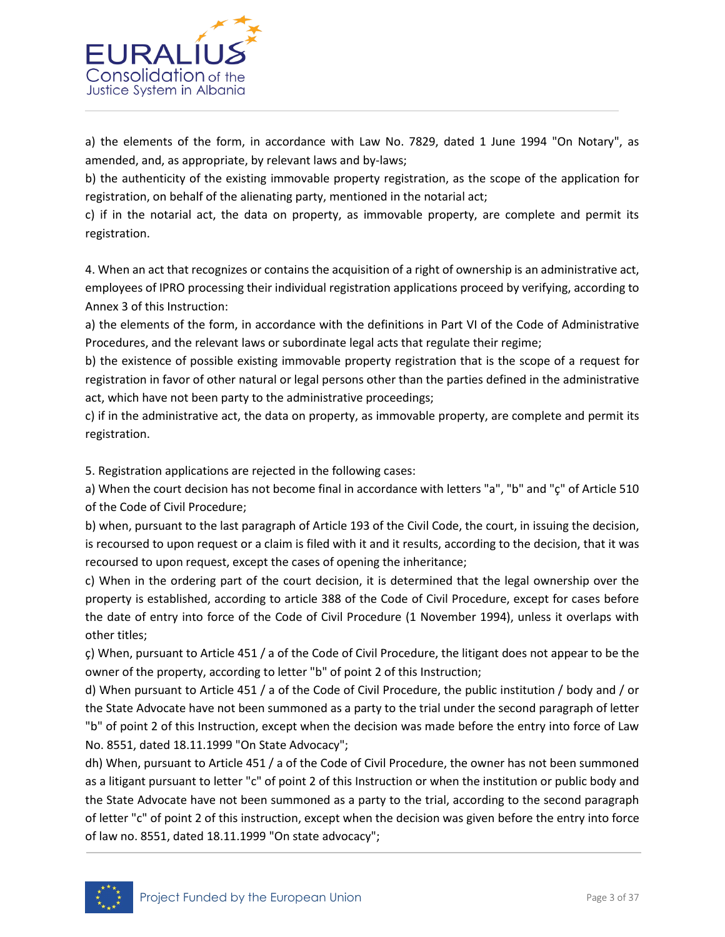

a) the elements of the form, in accordance with Law No. 7829, dated 1 June 1994 "On Notary", as amended, and, as appropriate, by relevant laws and by-laws;

b) the authenticity of the existing immovable property registration, as the scope of the application for registration, on behalf of the alienating party, mentioned in the notarial act;

c) if in the notarial act, the data on property, as immovable property, are complete and permit its registration.

4. When an act that recognizes or contains the acquisition of a right of ownership is an administrative act, employees of IPRO processing their individual registration applications proceed by verifying, according to Annex 3 of this Instruction:

a) the elements of the form, in accordance with the definitions in Part VI of the Code of Administrative Procedures, and the relevant laws or subordinate legal acts that regulate their regime;

b) the existence of possible existing immovable property registration that is the scope of a request for registration in favor of other natural or legal persons other than the parties defined in the administrative act, which have not been party to the administrative proceedings;

c) if in the administrative act, the data on property, as immovable property, are complete and permit its registration.

5. Registration applications are rejected in the following cases:

a) When the court decision has not become final in accordance with letters "a", "b" and "ç" of Article 510 of the Code of Civil Procedure;

b) when, pursuant to the last paragraph of Article 193 of the Civil Code, the court, in issuing the decision, is recoursed to upon request or a claim is filed with it and it results, according to the decision, that it was recoursed to upon request, except the cases of opening the inheritance;

c) When in the ordering part of the court decision, it is determined that the legal ownership over the property is established, according to article 388 of the Code of Civil Procedure, except for cases before the date of entry into force of the Code of Civil Procedure (1 November 1994), unless it overlaps with other titles;

ç) When, pursuant to Article 451 / a of the Code of Civil Procedure, the litigant does not appear to be the owner of the property, according to letter "b" of point 2 of this Instruction;

d) When pursuant to Article 451 / a of the Code of Civil Procedure, the public institution / body and / or the State Advocate have not been summoned as a party to the trial under the second paragraph of letter "b" of point 2 of this Instruction, except when the decision was made before the entry into force of Law No. 8551, dated 18.11.1999 "On State Advocacy";

dh) When, pursuant to Article 451 / a of the Code of Civil Procedure, the owner has not been summoned as a litigant pursuant to letter "c" of point 2 of this Instruction or when the institution or public body and the State Advocate have not been summoned as a party to the trial, according to the second paragraph of letter "c" of point 2 of this instruction, except when the decision was given before the entry into force of law no. 8551, dated 18.11.1999 "On state advocacy";

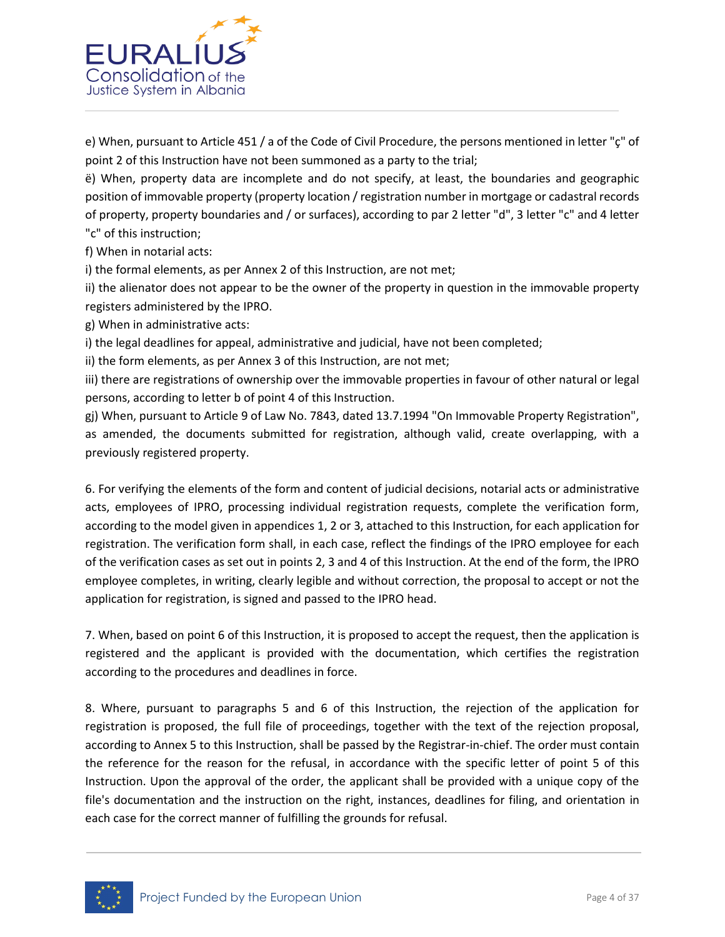

e) When, pursuant to Article 451 / a of the Code of Civil Procedure, the persons mentioned in letter "ç" of point 2 of this Instruction have not been summoned as a party to the trial;

ë) When, property data are incomplete and do not specify, at least, the boundaries and geographic position of immovable property (property location / registration number in mortgage or cadastral records of property, property boundaries and / or surfaces), according to par 2 letter "d", 3 letter "c" and 4 letter "c" of this instruction;

f) When in notarial acts:

i) the formal elements, as per Annex 2 of this Instruction, are not met;

ii) the alienator does not appear to be the owner of the property in question in the immovable property registers administered by the IPRO.

g) When in administrative acts:

i) the legal deadlines for appeal, administrative and judicial, have not been completed;

ii) the form elements, as per Annex 3 of this Instruction, are not met;

iii) there are registrations of ownership over the immovable properties in favour of other natural or legal persons, according to letter b of point 4 of this Instruction.

gj) When, pursuant to Article 9 of Law No. 7843, dated 13.7.1994 "On Immovable Property Registration", as amended, the documents submitted for registration, although valid, create overlapping, with a previously registered property.

6. For verifying the elements of the form and content of judicial decisions, notarial acts or administrative acts, employees of IPRO, processing individual registration requests, complete the verification form, according to the model given in appendices 1, 2 or 3, attached to this Instruction, for each application for registration. The verification form shall, in each case, reflect the findings of the IPRO employee for each of the verification cases as set out in points 2, 3 and 4 of this Instruction. At the end of the form, the IPRO employee completes, in writing, clearly legible and without correction, the proposal to accept or not the application for registration, is signed and passed to the IPRO head.

7. When, based on point 6 of this Instruction, it is proposed to accept the request, then the application is registered and the applicant is provided with the documentation, which certifies the registration according to the procedures and deadlines in force.

8. Where, pursuant to paragraphs 5 and 6 of this Instruction, the rejection of the application for registration is proposed, the full file of proceedings, together with the text of the rejection proposal, according to Annex 5 to this Instruction, shall be passed by the Registrar-in-chief. The order must contain the reference for the reason for the refusal, in accordance with the specific letter of point 5 of this Instruction. Upon the approval of the order, the applicant shall be provided with a unique copy of the file's documentation and the instruction on the right, instances, deadlines for filing, and orientation in each case for the correct manner of fulfilling the grounds for refusal.

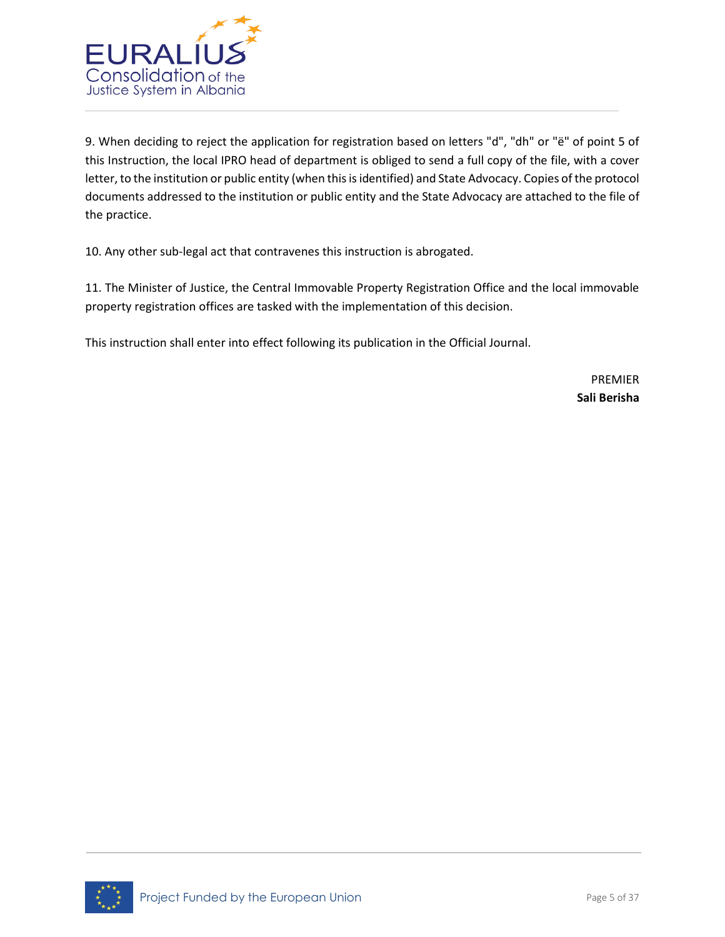

9. When deciding to reject the application for registration based on letters "d", "dh" or "ë" of point 5 of this Instruction, the local IPRO head of department is obliged to send a full copy of the file, with a cover letter, to the institution or public entity (when this is identified) and State Advocacy. Copies of the protocol documents addressed to the institution or public entity and the State Advocacy are attached to the file of the practice.

10. Any other sub-legal act that contravenes this instruction is abrogated.

11. The Minister of Justice, the Central Immovable Property Registration Office and the local immovable property registration offices are tasked with the implementation of this decision.

This instruction shall enter into effect following its publication in the Official Journal.

PREMIER **Sali Berisha**

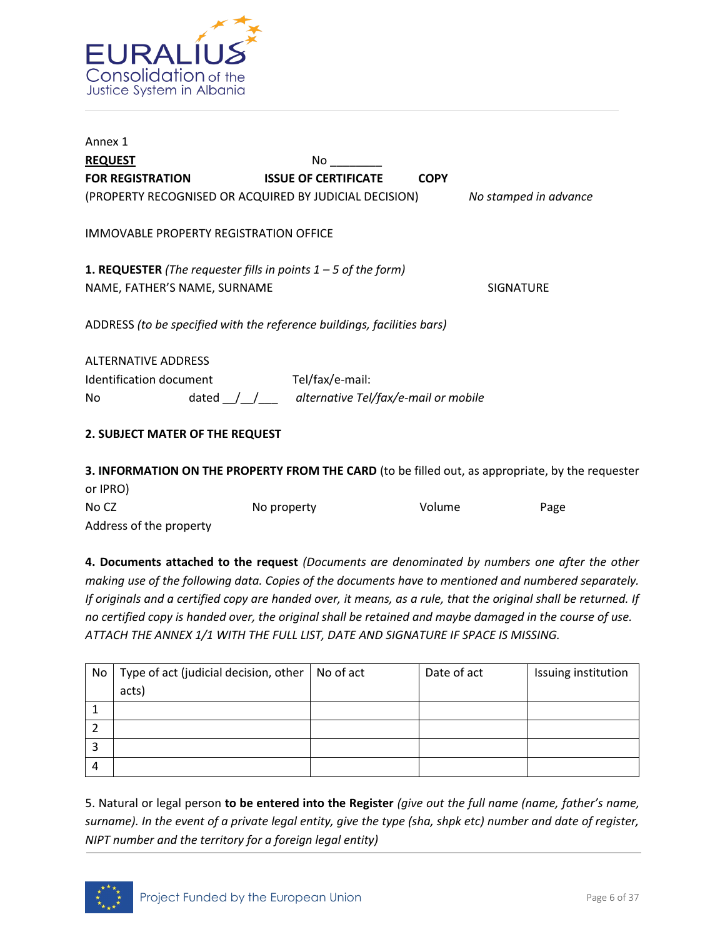

| Annex 1                                                                 |                                                                 |                       |
|-------------------------------------------------------------------------|-----------------------------------------------------------------|-----------------------|
| <b>REQUEST</b>                                                          | No.                                                             |                       |
| <b>FOR REGISTRATION</b>                                                 | <b>ISSUE OF CERTIFICATE</b>                                     | <b>COPY</b>           |
| (PROPERTY RECOGNISED OR ACQUIRED BY JUDICIAL DECISION)                  |                                                                 | No stamped in advance |
| IMMOVABLE PROPERTY REGISTRATION OFFICE                                  |                                                                 |                       |
| <b>1. REQUESTER</b> (The requester fills in points $1 - 5$ of the form) |                                                                 |                       |
| NAME, FATHER'S NAME, SURNAME                                            |                                                                 | <b>SIGNATURE</b>      |
| ADDRESS (to be specified with the reference buildings, facilities bars) |                                                                 |                       |
| <b>ALTERNATIVE ADDRESS</b>                                              |                                                                 |                       |
| Identification document                                                 | Tel/fax/e-mail:                                                 |                       |
| No                                                                      | dated $\frac{1}{\sqrt{2}}$ alternative Tel/fax/e-mail or mobile |                       |
| 2. SUBJECT MATER OF THE REQUEST                                         |                                                                 |                       |

**3. INFORMATION ON THE PROPERTY FROM THE CARD** (to be filled out, as appropriate, by the requester or IPRO)

| No CZ                   | No property | Volume | Page |
|-------------------------|-------------|--------|------|
| Address of the property |             |        |      |

**4. Documents attached to the request** *(Documents are denominated by numbers one after the other making use of the following data. Copies of the documents have to mentioned and numbered separately. If originals and a certified copy are handed over, it means, as a rule, that the original shall be returned. If no certified copy is handed over, the original shall be retained and maybe damaged in the course of use. ATTACH THE ANNEX 1/1 WITH THE FULL LIST, DATE AND SIGNATURE IF SPACE IS MISSING.* 

| No | Type of act (judicial decision, other $\vert$ No of act | Date of act | Issuing institution |
|----|---------------------------------------------------------|-------------|---------------------|
|    | acts)                                                   |             |                     |
|    |                                                         |             |                     |
|    |                                                         |             |                     |
|    |                                                         |             |                     |
| 4  |                                                         |             |                     |

5. Natural or legal person **to be entered into the Register** *(give out the full name (name, father's name, surname). In the event of a private legal entity, give the type (sha, shpk etc) number and date of register, NIPT number and the territory for a foreign legal entity)*

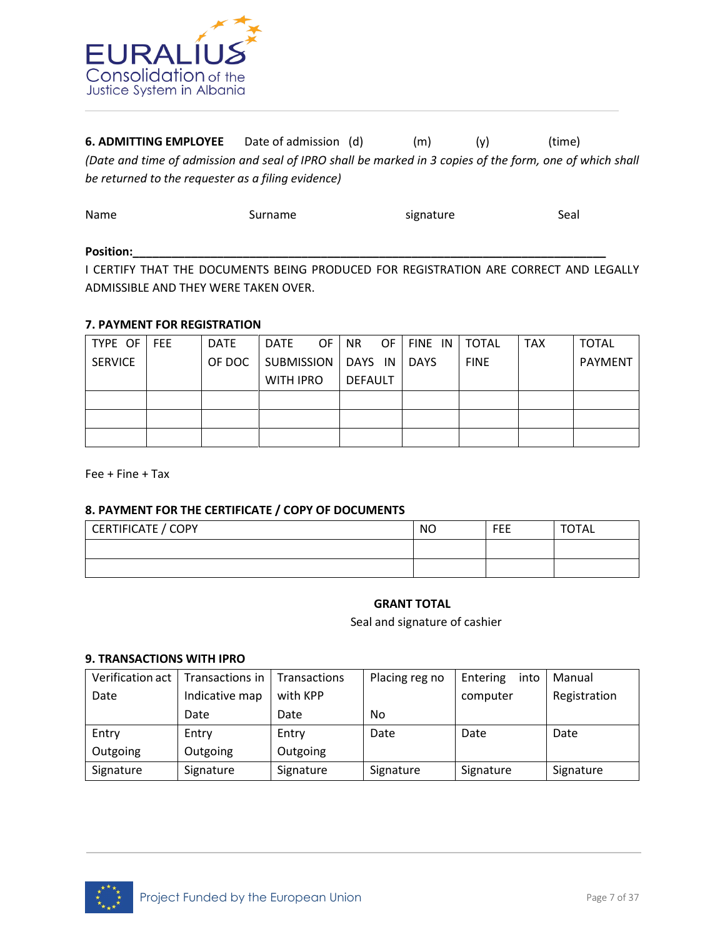

**6. ADMITTING EMPLOYEE** Date of admission (d) (m) (y) (time) *(Date and time of admission and seal of IPRO shall be marked in 3 copies of the form, one of which shall be returned to the requester as a filing evidence)* 

| Name  | Surname | signature | Seal |
|-------|---------|-----------|------|
| $  -$ |         |           |      |

#### Position:\_\_\_\_

I CERTIFY THAT THE DOCUMENTS BEING PRODUCED FOR REGISTRATION ARE CORRECT AND LEGALLY ADMISSIBLE AND THEY WERE TAKEN OVER.

#### **7. PAYMENT FOR REGISTRATION**

| TYPE OF FEE    | <b>DATE</b> | DATE              | OF. | NR I    | OF   FINE IN   TOTAL |             | <b>TAX</b> | <b>TOTAL</b>   |
|----------------|-------------|-------------------|-----|---------|----------------------|-------------|------------|----------------|
| <b>SERVICE</b> | OF DOC      | <b>SUBMISSION</b> |     | DAYS IN | <b>DAYS</b>          | <b>FINE</b> |            | <b>PAYMENT</b> |
|                |             | <b>WITH IPRO</b>  |     | DEFAULT |                      |             |            |                |
|                |             |                   |     |         |                      |             |            |                |
|                |             |                   |     |         |                      |             |            |                |
|                |             |                   |     |         |                      |             |            |                |

Fee + Fine + Tax

#### **8. PAYMENT FOR THE CERTIFICATE / COPY OF DOCUMENTS**

| CERTIFICATE / COPY | <b>NO</b> | FEE | <b>TOTAL</b> |
|--------------------|-----------|-----|--------------|
|                    |           |     |              |
|                    |           |     |              |

#### **GRANT TOTAL**

Seal and signature of cashier

#### **9. TRANSACTIONS WITH IPRO**

| Verification act 1 | Transactions in   Transactions |          | Placing reg no | Entering<br>into | Manual       |
|--------------------|--------------------------------|----------|----------------|------------------|--------------|
| Date               | Indicative map                 | with KPP |                | computer         | Registration |
|                    | Date                           | Date     | No             |                  |              |
|                    |                                |          |                |                  |              |
| Entry              | Entry                          | Entry    | Date           | Date             | Date         |
| Outgoing           | Outgoing                       | Outgoing |                |                  |              |

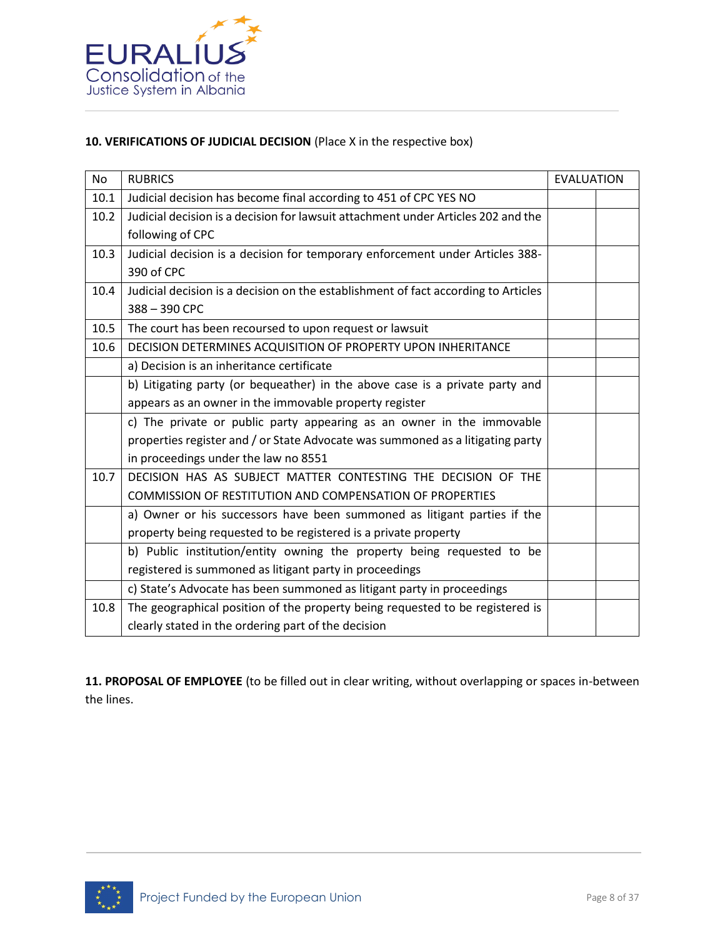

## **10. VERIFICATIONS OF JUDICIAL DECISION** (Place X in the respective box)

| <b>No</b> | <b>RUBRICS</b>                                                                     | <b>EVALUATION</b> |  |
|-----------|------------------------------------------------------------------------------------|-------------------|--|
| 10.1      | Judicial decision has become final according to 451 of CPC YES NO                  |                   |  |
| 10.2      | Judicial decision is a decision for lawsuit attachment under Articles 202 and the  |                   |  |
|           | following of CPC                                                                   |                   |  |
| 10.3      | Judicial decision is a decision for temporary enforcement under Articles 388-      |                   |  |
|           | 390 of CPC                                                                         |                   |  |
| 10.4      | Judicial decision is a decision on the establishment of fact according to Articles |                   |  |
|           | 388-390 CPC                                                                        |                   |  |
| 10.5      | The court has been recoursed to upon request or lawsuit                            |                   |  |
| 10.6      | DECISION DETERMINES ACQUISITION OF PROPERTY UPON INHERITANCE                       |                   |  |
|           | a) Decision is an inheritance certificate                                          |                   |  |
|           | b) Litigating party (or bequeather) in the above case is a private party and       |                   |  |
|           | appears as an owner in the immovable property register                             |                   |  |
|           | c) The private or public party appearing as an owner in the immovable              |                   |  |
|           | properties register and / or State Advocate was summoned as a litigating party     |                   |  |
|           | in proceedings under the law no 8551                                               |                   |  |
| 10.7      | DECISION HAS AS SUBJECT MATTER CONTESTING THE DECISION OF THE                      |                   |  |
|           | COMMISSION OF RESTITUTION AND COMPENSATION OF PROPERTIES                           |                   |  |
|           | a) Owner or his successors have been summoned as litigant parties if the           |                   |  |
|           | property being requested to be registered is a private property                    |                   |  |
|           | b) Public institution/entity owning the property being requested to be             |                   |  |
|           | registered is summoned as litigant party in proceedings                            |                   |  |
|           | c) State's Advocate has been summoned as litigant party in proceedings             |                   |  |
| 10.8      | The geographical position of the property being requested to be registered is      |                   |  |
|           | clearly stated in the ordering part of the decision                                |                   |  |

**11. PROPOSAL OF EMPLOYEE** (to be filled out in clear writing, without overlapping or spaces in-between the lines.

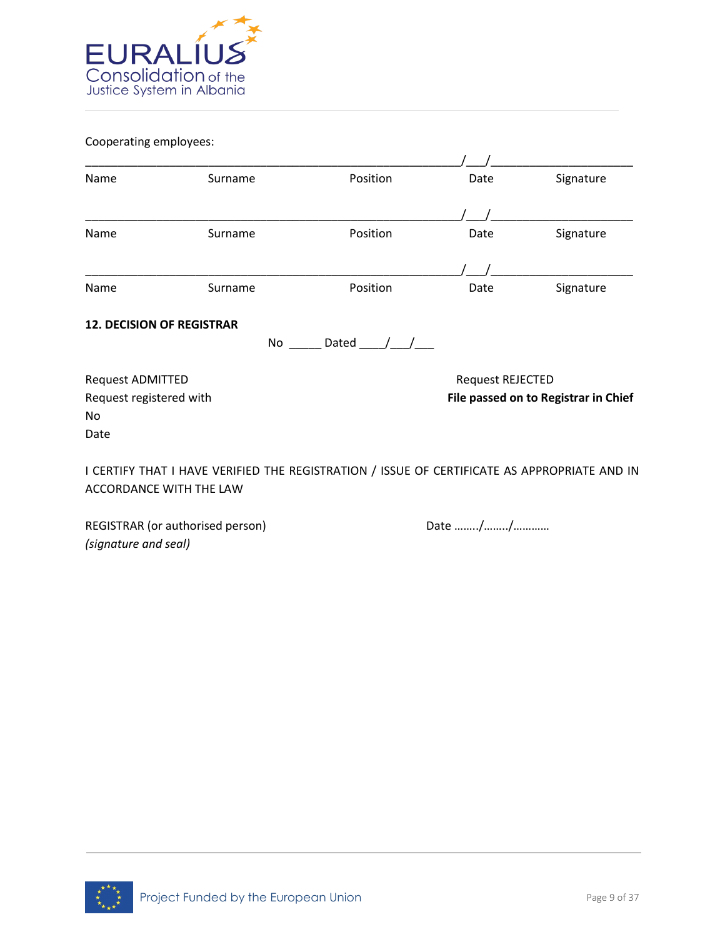

Cooperating employees:

| Name                             | Surname                                                                                                                        | Position    | Date                    | Signature                            |
|----------------------------------|--------------------------------------------------------------------------------------------------------------------------------|-------------|-------------------------|--------------------------------------|
|                                  |                                                                                                                                |             |                         |                                      |
| Name                             | Surname                                                                                                                        | Position    | Date                    | Signature                            |
|                                  |                                                                                                                                |             |                         |                                      |
| Name                             | Surname                                                                                                                        | Position    | Date                    | Signature                            |
| <b>12. DECISION OF REGISTRAR</b> | No                                                                                                                             | Dated $/ /$ |                         |                                      |
| <b>Request ADMITTED</b>          |                                                                                                                                |             | <b>Request REJECTED</b> |                                      |
| Request registered with          |                                                                                                                                |             |                         | File passed on to Registrar in Chief |
| No                               |                                                                                                                                |             |                         |                                      |
| Date                             |                                                                                                                                |             |                         |                                      |
|                                  | I CERTIFY THAT I HAVE VERIFIED THE REGISTRATION / ISSUE OF CERTIFICATE AS APPROPRIATE AND IN<br><b>ACCORDANCE WITH THE LAW</b> |             |                         |                                      |

REGISTRAR (or authorised person) Date many metal base in the Date many metal of the Date many metal of the Date many metal of the Ref. of the Date many metal of the Date many metal of the Date many metal of the Date many m *(signature and seal)* 

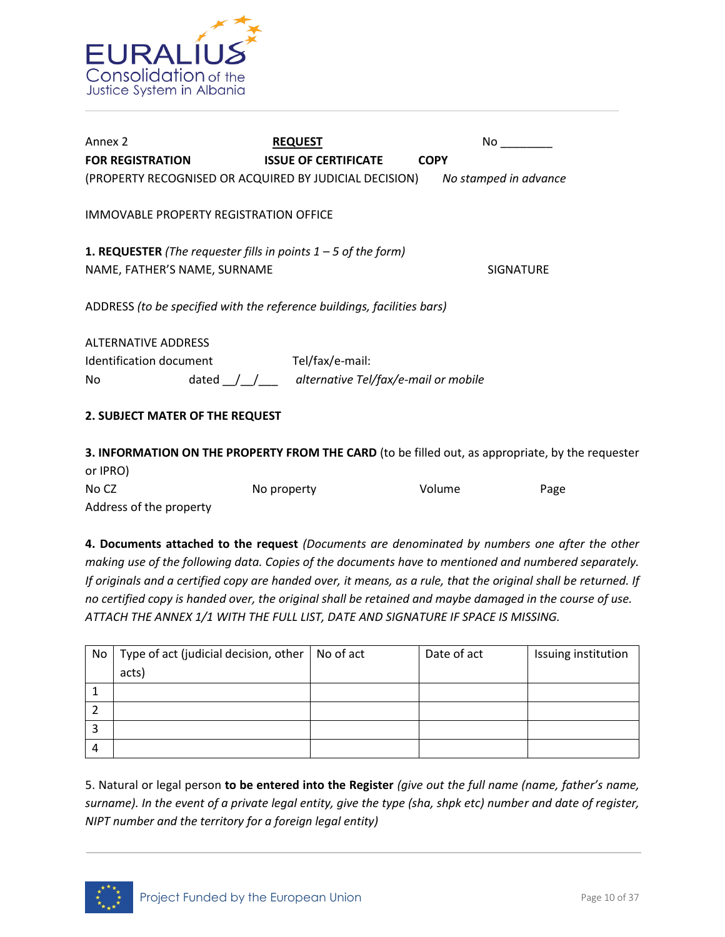

| Annex 2                                                                                                 | <b>REQUEST</b>                                                  | No.                   |
|---------------------------------------------------------------------------------------------------------|-----------------------------------------------------------------|-----------------------|
| <b>FOR REGISTRATION</b>                                                                                 | <b>ISSUE OF CERTIFICATE</b>                                     | <b>COPY</b>           |
| (PROPERTY RECOGNISED OR ACQUIRED BY JUDICIAL DECISION)                                                  |                                                                 | No stamped in advance |
| IMMOVABLE PROPERTY REGISTRATION OFFICE                                                                  |                                                                 |                       |
| <b>1. REQUESTER</b> (The requester fills in points $1 - 5$ of the form)<br>NAME, FATHER'S NAME, SURNAME |                                                                 | <b>SIGNATURE</b>      |
| ADDRESS (to be specified with the reference buildings, facilities bars)                                 |                                                                 |                       |
| <b>ALTERNATIVE ADDRESS</b>                                                                              |                                                                 |                       |
| Identification document                                                                                 | Tel/fax/e-mail:                                                 |                       |
| No                                                                                                      | dated $\frac{1}{\sqrt{2}}$ alternative Tel/fax/e-mail or mobile |                       |
| 2. SUBJECT MATER OF THE REQUEST                                                                         |                                                                 |                       |
| .                                                                                                       | .                                                               |                       |

**3. INFORMATION ON THE PROPERTY FROM THE CARD** (to be filled out, as appropriate, by the requester or IPRO) No CZ No property No volume Page Address of the property

**4. Documents attached to the request** *(Documents are denominated by numbers one after the other making use of the following data. Copies of the documents have to mentioned and numbered separately. If originals and a certified copy are handed over, it means, as a rule, that the original shall be returned. If no certified copy is handed over, the original shall be retained and maybe damaged in the course of use. ATTACH THE ANNEX 1/1 WITH THE FULL LIST, DATE AND SIGNATURE IF SPACE IS MISSING.* 

| No | Type of act (judicial decision, other $\vert$ No of act | Date of act | Issuing institution |
|----|---------------------------------------------------------|-------------|---------------------|
|    | acts)                                                   |             |                     |
|    |                                                         |             |                     |
|    |                                                         |             |                     |
|    |                                                         |             |                     |
| 4  |                                                         |             |                     |

5. Natural or legal person **to be entered into the Register** *(give out the full name (name, father's name, surname). In the event of a private legal entity, give the type (sha, shpk etc) number and date of register, NIPT number and the territory for a foreign legal entity)*

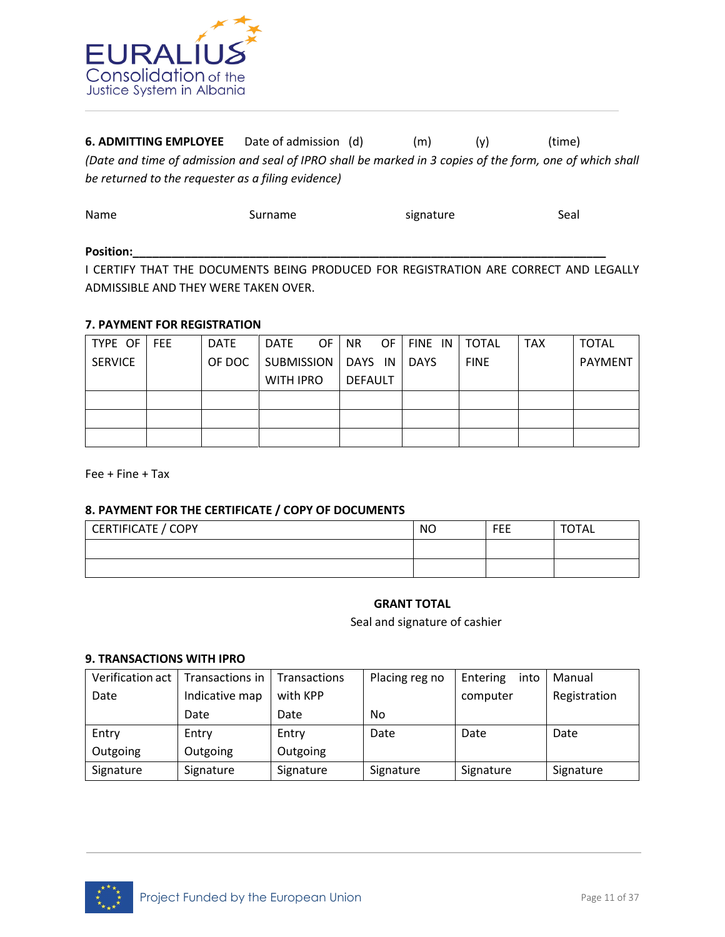

**6. ADMITTING EMPLOYEE** Date of admission (d) (m) (y) (time) *(Date and time of admission and seal of IPRO shall be marked in 3 copies of the form, one of which shall be returned to the requester as a filing evidence)* 

| Name  | Surname | signature | Seal |
|-------|---------|-----------|------|
| _____ |         |           |      |

#### Position:\_\_\_\_

I CERTIFY THAT THE DOCUMENTS BEING PRODUCED FOR REGISTRATION ARE CORRECT AND LEGALLY ADMISSIBLE AND THEY WERE TAKEN OVER.

#### **7. PAYMENT FOR REGISTRATION**

| TYPE OF        | <b>FEE</b> | <b>DATE</b> | DATE                 | OF. | NR.     | OF. | FINE IN     | <b>TOTAL</b> | <b>TAX</b> | <b>TOTAL</b>   |
|----------------|------------|-------------|----------------------|-----|---------|-----|-------------|--------------|------------|----------------|
| <b>SERVICE</b> |            | OF DOC      | SUBMISSION   DAYS IN |     |         |     | <b>DAYS</b> | <b>FINE</b>  |            | <b>PAYMENT</b> |
|                |            |             | <b>WITH IPRO</b>     |     | DEFAULT |     |             |              |            |                |
|                |            |             |                      |     |         |     |             |              |            |                |
|                |            |             |                      |     |         |     |             |              |            |                |
|                |            |             |                      |     |         |     |             |              |            |                |

Fee + Fine + Tax

#### **8. PAYMENT FOR THE CERTIFICATE / COPY OF DOCUMENTS**

| CERTIFICATE / COPY | <b>NO</b> | <b>FEE</b> | <b>TOTAL</b> |
|--------------------|-----------|------------|--------------|
|                    |           |            |              |
|                    |           |            |              |

#### **GRANT TOTAL**

Seal and signature of cashier

#### **9. TRANSACTIONS WITH IPRO**

| Verification act 1 | l Transactions in | Transactions | Placing reg no | Entering<br>into | Manual       |
|--------------------|-------------------|--------------|----------------|------------------|--------------|
| Date               | Indicative map    | with KPP     |                | computer         | Registration |
|                    | Date              | Date         | No             |                  |              |
|                    |                   |              |                |                  |              |
| Entry              | Entry             | Entry        | Date           | Date             | Date         |
| Outgoing           | Outgoing          | Outgoing     |                |                  |              |

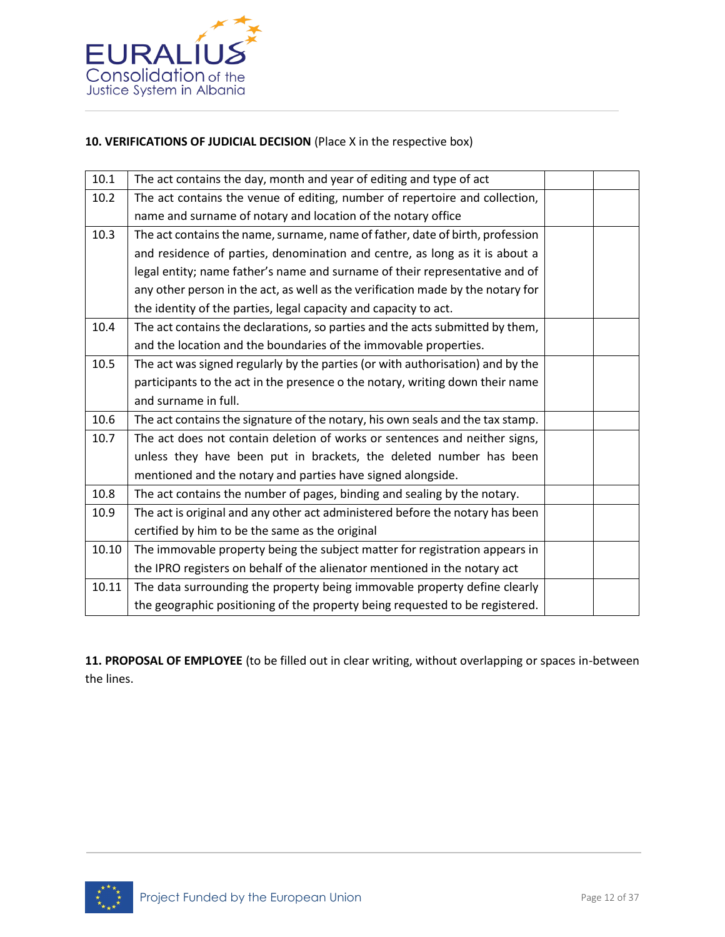

# **10. VERIFICATIONS OF JUDICIAL DECISION** (Place X in the respective box)

| 10.1  | The act contains the day, month and year of editing and type of act             |  |
|-------|---------------------------------------------------------------------------------|--|
| 10.2  | The act contains the venue of editing, number of repertoire and collection,     |  |
|       | name and surname of notary and location of the notary office                    |  |
| 10.3  | The act contains the name, surname, name of father, date of birth, profession   |  |
|       | and residence of parties, denomination and centre, as long as it is about a     |  |
|       | legal entity; name father's name and surname of their representative and of     |  |
|       | any other person in the act, as well as the verification made by the notary for |  |
|       | the identity of the parties, legal capacity and capacity to act.                |  |
| 10.4  | The act contains the declarations, so parties and the acts submitted by them,   |  |
|       | and the location and the boundaries of the immovable properties.                |  |
| 10.5  | The act was signed regularly by the parties (or with authorisation) and by the  |  |
|       | participants to the act in the presence o the notary, writing down their name   |  |
|       | and surname in full.                                                            |  |
| 10.6  | The act contains the signature of the notary, his own seals and the tax stamp.  |  |
| 10.7  | The act does not contain deletion of works or sentences and neither signs,      |  |
|       | unless they have been put in brackets, the deleted number has been              |  |
|       | mentioned and the notary and parties have signed alongside.                     |  |
| 10.8  | The act contains the number of pages, binding and sealing by the notary.        |  |
| 10.9  | The act is original and any other act administered before the notary has been   |  |
|       | certified by him to be the same as the original                                 |  |
| 10.10 | The immovable property being the subject matter for registration appears in     |  |
|       | the IPRO registers on behalf of the alienator mentioned in the notary act       |  |
| 10.11 | The data surrounding the property being immovable property define clearly       |  |
|       | the geographic positioning of the property being requested to be registered.    |  |

**11. PROPOSAL OF EMPLOYEE** (to be filled out in clear writing, without overlapping or spaces in-between the lines.

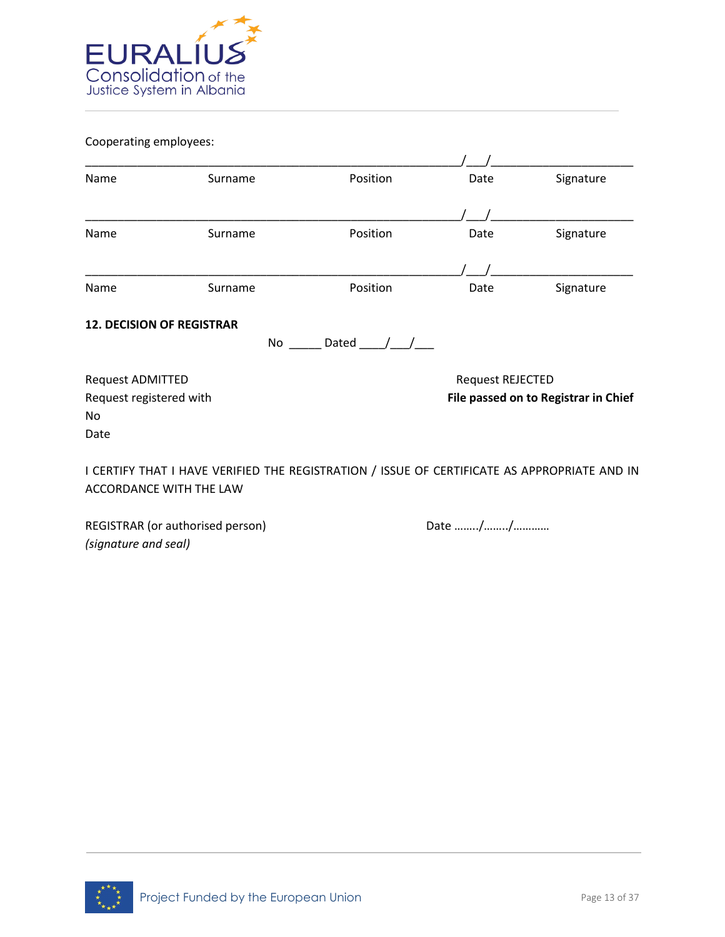

Cooperating employees:

| Name                             | Surname                                                                                                                        | Position    | Date                                 | Signature |  |
|----------------------------------|--------------------------------------------------------------------------------------------------------------------------------|-------------|--------------------------------------|-----------|--|
|                                  |                                                                                                                                |             |                                      |           |  |
| Name                             | Surname                                                                                                                        | Position    | Date                                 | Signature |  |
|                                  |                                                                                                                                |             |                                      |           |  |
| Name                             | Surname                                                                                                                        | Position    | Date                                 | Signature |  |
| <b>12. DECISION OF REGISTRAR</b> | No                                                                                                                             | Dated $/ /$ |                                      |           |  |
| <b>Request ADMITTED</b>          |                                                                                                                                |             | <b>Request REJECTED</b>              |           |  |
| Request registered with          |                                                                                                                                |             | File passed on to Registrar in Chief |           |  |
| No                               |                                                                                                                                |             |                                      |           |  |
| Date                             |                                                                                                                                |             |                                      |           |  |
|                                  | I CERTIFY THAT I HAVE VERIFIED THE REGISTRATION / ISSUE OF CERTIFICATE AS APPROPRIATE AND IN<br><b>ACCORDANCE WITH THE LAW</b> |             |                                      |           |  |

REGISTRAR (or authorised person) Date many metal base in the Date many metal of the Date many metal of the Date many metal of the Ref. of the Date many metal of the Date many metal of the Date many metal of the Date many m *(signature and seal)* 

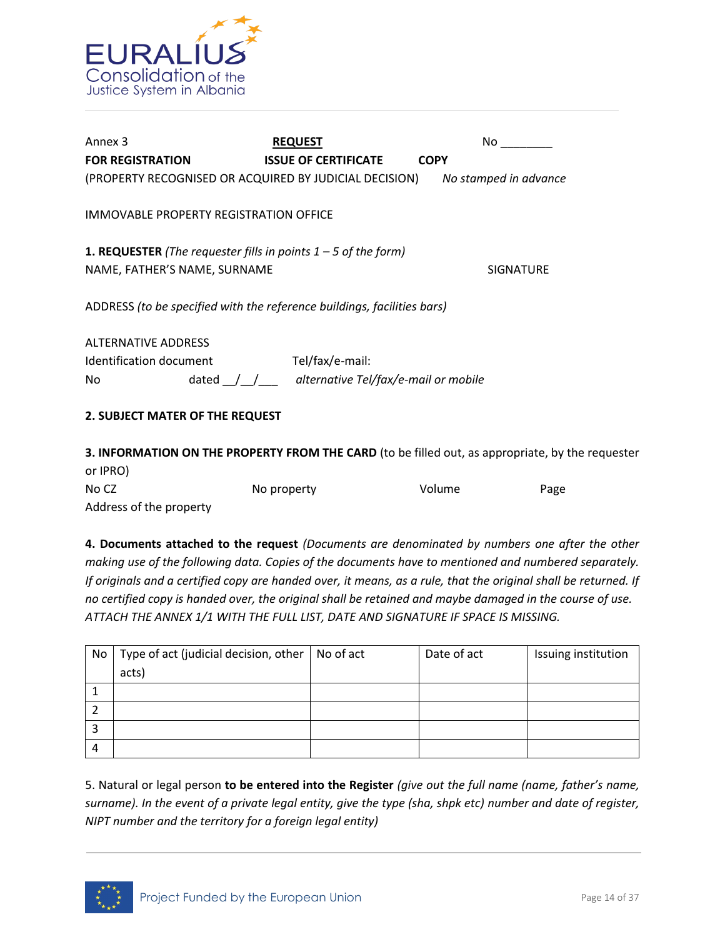

| Annex 3                                                                 | <b>REQUEST</b>                                                                                                              | No.                   |  |  |  |  |  |
|-------------------------------------------------------------------------|-----------------------------------------------------------------------------------------------------------------------------|-----------------------|--|--|--|--|--|
| <b>FOR REGISTRATION</b>                                                 | <b>ISSUE OF CERTIFICATE</b>                                                                                                 | <b>COPY</b>           |  |  |  |  |  |
| (PROPERTY RECOGNISED OR ACQUIRED BY JUDICIAL DECISION)                  |                                                                                                                             | No stamped in advance |  |  |  |  |  |
| IMMOVABLE PROPERTY REGISTRATION OFFICE                                  |                                                                                                                             |                       |  |  |  |  |  |
|                                                                         | <b>1. REQUESTER</b> (The requester fills in points $1 - 5$ of the form)<br>NAME, FATHER'S NAME, SURNAME<br><b>SIGNATURE</b> |                       |  |  |  |  |  |
| ADDRESS (to be specified with the reference buildings, facilities bars) |                                                                                                                             |                       |  |  |  |  |  |
| <b>ALTERNATIVE ADDRESS</b>                                              |                                                                                                                             |                       |  |  |  |  |  |
| Identification document                                                 | Tel/fax/e-mail:                                                                                                             |                       |  |  |  |  |  |
| No                                                                      | dated $\int$ $\int$ alternative Tel/fax/e-mail or mobile                                                                    |                       |  |  |  |  |  |
| 2. SUBJECT MATER OF THE REQUEST                                         |                                                                                                                             |                       |  |  |  |  |  |
|                                                                         |                                                                                                                             |                       |  |  |  |  |  |

**3. INFORMATION ON THE PROPERTY FROM THE CARD** (to be filled out, as appropriate, by the requester or IPRO) No CZ No property No volume Page Address of the property

**4. Documents attached to the request** *(Documents are denominated by numbers one after the other making use of the following data. Copies of the documents have to mentioned and numbered separately. If originals and a certified copy are handed over, it means, as a rule, that the original shall be returned. If no certified copy is handed over, the original shall be retained and maybe damaged in the course of use. ATTACH THE ANNEX 1/1 WITH THE FULL LIST, DATE AND SIGNATURE IF SPACE IS MISSING.* 

| No | Type of act (judicial decision, other $\vert$ No of act | Date of act | Issuing institution |
|----|---------------------------------------------------------|-------------|---------------------|
|    | acts)                                                   |             |                     |
|    |                                                         |             |                     |
|    |                                                         |             |                     |
|    |                                                         |             |                     |
| 4  |                                                         |             |                     |

5. Natural or legal person **to be entered into the Register** *(give out the full name (name, father's name, surname). In the event of a private legal entity, give the type (sha, shpk etc) number and date of register, NIPT number and the territory for a foreign legal entity)*

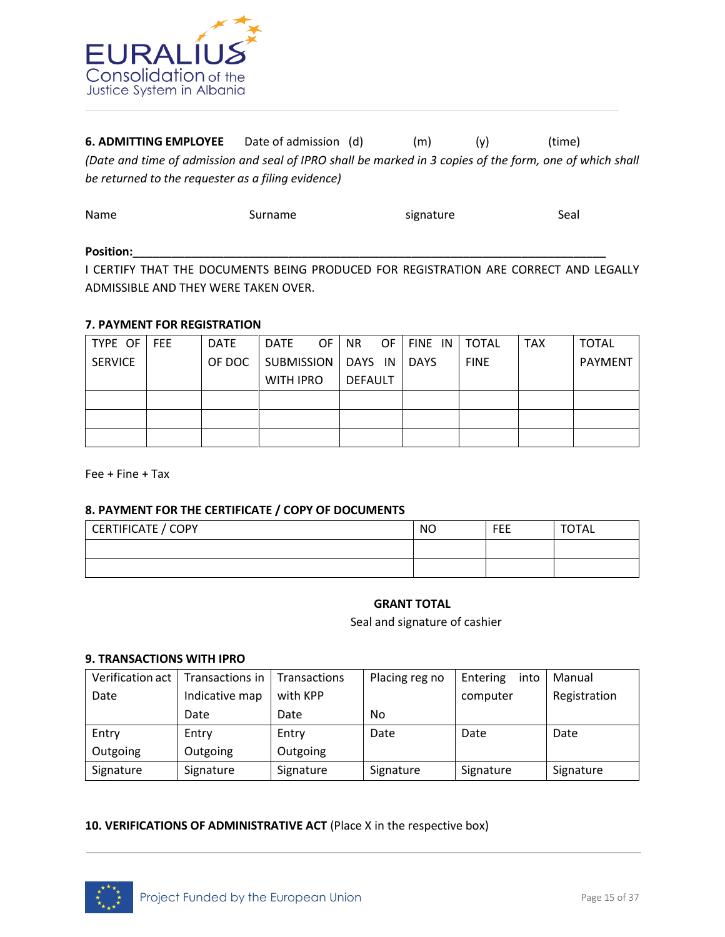

**6. ADMITTING EMPLOYEE** Date of admission (d) (m) (y) (time) *(Date and time of admission and seal of IPRO shall be marked in 3 copies of the form, one of which shall be returned to the requester as a filing evidence)* 

| Name  | Surname | signature | Seal |
|-------|---------|-----------|------|
| _____ |         |           |      |

#### **Position:\_\_\_\_\_\_\_\_\_\_\_\_\_\_\_\_\_\_\_\_\_\_\_\_\_\_\_\_\_\_\_\_\_\_\_\_\_\_\_\_\_\_\_\_\_\_\_\_\_\_\_\_\_\_\_\_\_\_\_\_\_\_\_\_\_\_\_\_\_\_\_\_\_**

I CERTIFY THAT THE DOCUMENTS BEING PRODUCED FOR REGISTRATION ARE CORRECT AND LEGALLY ADMISSIBLE AND THEY WERE TAKEN OVER.

#### **7. PAYMENT FOR REGISTRATION**

| TYPE OF        | <b>FEE</b> | <b>DATE</b> | DATE                 | OF. | NR.     | OF. | FINE IN     | <b>TOTAL</b> | <b>TAX</b> | <b>TOTAL</b>   |
|----------------|------------|-------------|----------------------|-----|---------|-----|-------------|--------------|------------|----------------|
| <b>SERVICE</b> |            | OF DOC      | SUBMISSION   DAYS IN |     |         |     | <b>DAYS</b> | <b>FINE</b>  |            | <b>PAYMENT</b> |
|                |            |             | <b>WITH IPRO</b>     |     | DEFAULT |     |             |              |            |                |
|                |            |             |                      |     |         |     |             |              |            |                |
|                |            |             |                      |     |         |     |             |              |            |                |
|                |            |             |                      |     |         |     |             |              |            |                |

Fee + Fine + Tax

#### **8. PAYMENT FOR THE CERTIFICATE / COPY OF DOCUMENTS**

| CERTIFICATE / COPY | <b>NO</b> | <b>FEE</b> | <b>TOTAL</b> |
|--------------------|-----------|------------|--------------|
|                    |           |            |              |
|                    |           |            |              |

# **GRANT TOTAL**

Seal and signature of cashier

#### **9. TRANSACTIONS WITH IPRO**

| Verification act | Transactions in | <b>Transactions</b> | Placing reg no | Entering<br>into | Manual       |
|------------------|-----------------|---------------------|----------------|------------------|--------------|
| Date             | Indicative map  | with KPP            |                | computer         | Registration |
|                  | Date            | Date                | No.            |                  |              |
|                  |                 |                     |                |                  |              |
| Entry            | Entry           | Entry               | Date           | Date             | Date         |
| Outgoing         | Outgoing        | Outgoing            |                |                  |              |

#### **10. VERIFICATIONS OF ADMINISTRATIVE ACT** (Place X in the respective box)

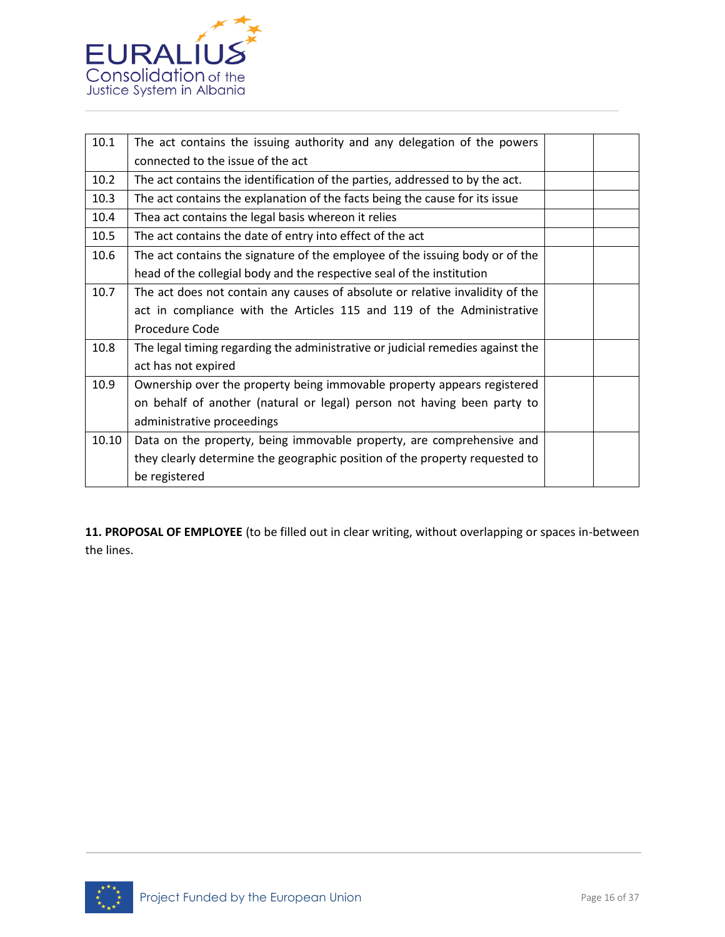

| 10.1  | The act contains the issuing authority and any delegation of the powers        |  |
|-------|--------------------------------------------------------------------------------|--|
|       | connected to the issue of the act                                              |  |
| 10.2  | The act contains the identification of the parties, addressed to by the act.   |  |
| 10.3  | The act contains the explanation of the facts being the cause for its issue    |  |
| 10.4  | Thea act contains the legal basis whereon it relies                            |  |
| 10.5  | The act contains the date of entry into effect of the act                      |  |
| 10.6  | The act contains the signature of the employee of the issuing body or of the   |  |
|       | head of the collegial body and the respective seal of the institution          |  |
| 10.7  | The act does not contain any causes of absolute or relative invalidity of the  |  |
|       | act in compliance with the Articles 115 and 119 of the Administrative          |  |
|       | Procedure Code                                                                 |  |
| 10.8  | The legal timing regarding the administrative or judicial remedies against the |  |
|       | act has not expired                                                            |  |
| 10.9  | Ownership over the property being immovable property appears registered        |  |
|       | on behalf of another (natural or legal) person not having been party to        |  |
|       | administrative proceedings                                                     |  |
| 10.10 | Data on the property, being immovable property, are comprehensive and          |  |
|       | they clearly determine the geographic position of the property requested to    |  |
|       | be registered                                                                  |  |

**11. PROPOSAL OF EMPLOYEE** (to be filled out in clear writing, without overlapping or spaces in-between the lines.

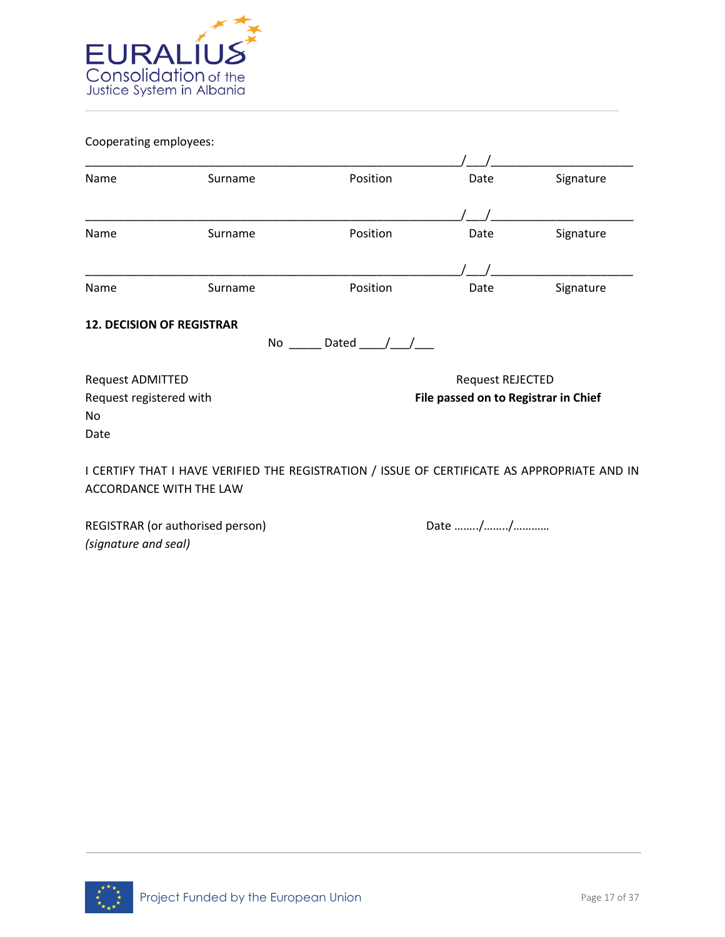

Cooperating employees:

| Name                             | Surname                                                                                                                        | Position      | Date                                 | Signature |
|----------------------------------|--------------------------------------------------------------------------------------------------------------------------------|---------------|--------------------------------------|-----------|
|                                  |                                                                                                                                |               |                                      |           |
| Name                             | Surname                                                                                                                        | Position      | Date                                 | Signature |
|                                  |                                                                                                                                |               |                                      |           |
| Name                             | Surname                                                                                                                        | Position      | Date                                 | Signature |
| <b>12. DECISION OF REGISTRAR</b> | No                                                                                                                             | Dated $/$ $/$ |                                      |           |
| Request ADMITTED                 |                                                                                                                                |               | Request REJECTED                     |           |
| Request registered with<br>No    |                                                                                                                                |               | File passed on to Registrar in Chief |           |
| Date                             |                                                                                                                                |               |                                      |           |
|                                  | I CERTIFY THAT I HAVE VERIFIED THE REGISTRATION / ISSUE OF CERTIFICATE AS APPROPRIATE AND IN<br><b>ACCORDANCE WITH THE LAW</b> |               |                                      |           |

REGISTRAR (or authorised person) Date many metal base in the Date many metal of the Date many metal of the Date many metal of the Ref. of the Date many metal of the Date many metal of the Date many metal of the Date many m *(signature and seal)* 

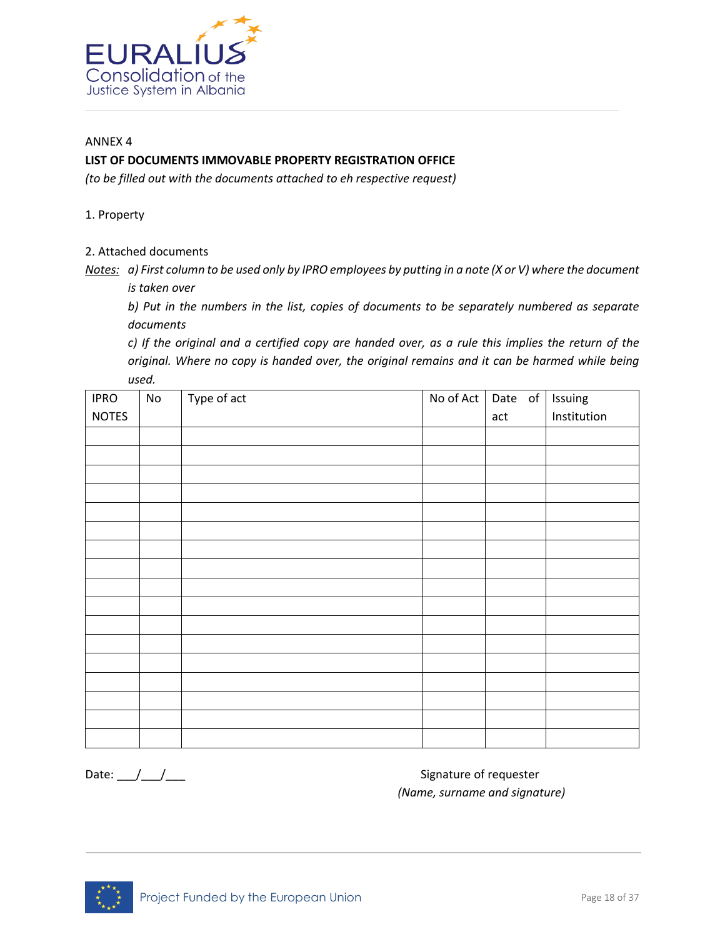

#### ANNEX 4

# **LIST OF DOCUMENTS IMMOVABLE PROPERTY REGISTRATION OFFICE**

*(to be filled out with the documents attached to eh respective request)* 

1. Property

2. Attached documents

*Notes: a) First column to be used only by IPRO employees by putting in a note (X or V) where the document is taken over* 

*b) Put in the numbers in the list, copies of documents to be separately numbered as separate documents* 

*c) If the original and a certified copy are handed over, as a rule this implies the return of the original. Where no copy is handed over, the original remains and it can be harmed while being used.* 

| <b>IPRO</b>  | $\mathsf{No}$ | Type of act | No of Act | Date of | Issuing     |
|--------------|---------------|-------------|-----------|---------|-------------|
| <b>NOTES</b> |               |             |           | act     | Institution |
|              |               |             |           |         |             |
|              |               |             |           |         |             |
|              |               |             |           |         |             |
|              |               |             |           |         |             |
|              |               |             |           |         |             |
|              |               |             |           |         |             |
|              |               |             |           |         |             |
|              |               |             |           |         |             |
|              |               |             |           |         |             |
|              |               |             |           |         |             |
|              |               |             |           |         |             |
|              |               |             |           |         |             |
|              |               |             |           |         |             |
|              |               |             |           |         |             |
|              |               |             |           |         |             |
|              |               |             |           |         |             |
|              |               |             |           |         |             |

Date: \_\_\_/\_\_\_/\_\_\_ Signature of requester *(Name, surname and signature)*

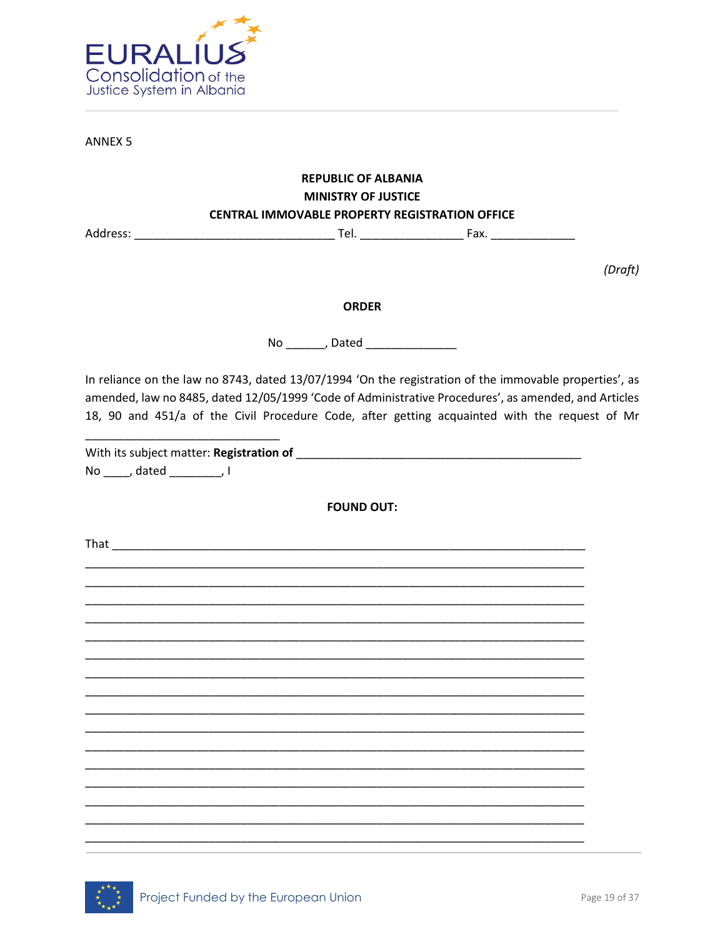

**ANNEX 5** 

# **REPUBLIC OF ALBANIA MINISTRY OF JUSTICE CENTRAL IMMOVABLE PROPERTY REGISTRATION OFFICE**

(Draft)

# **ORDER**

No \_\_\_\_\_\_\_\_, Dated \_\_\_\_\_\_\_\_\_\_\_\_\_\_\_

In reliance on the law no 8743, dated 13/07/1994 'On the registration of the immovable properties', as amended, law no 8485, dated 12/05/1999 'Code of Administrative Procedures', as amended, and Articles 18, 90 and 451/a of the Civil Procedure Code, after getting acquainted with the request of Mr

No dated , I

**FOUND OUT:**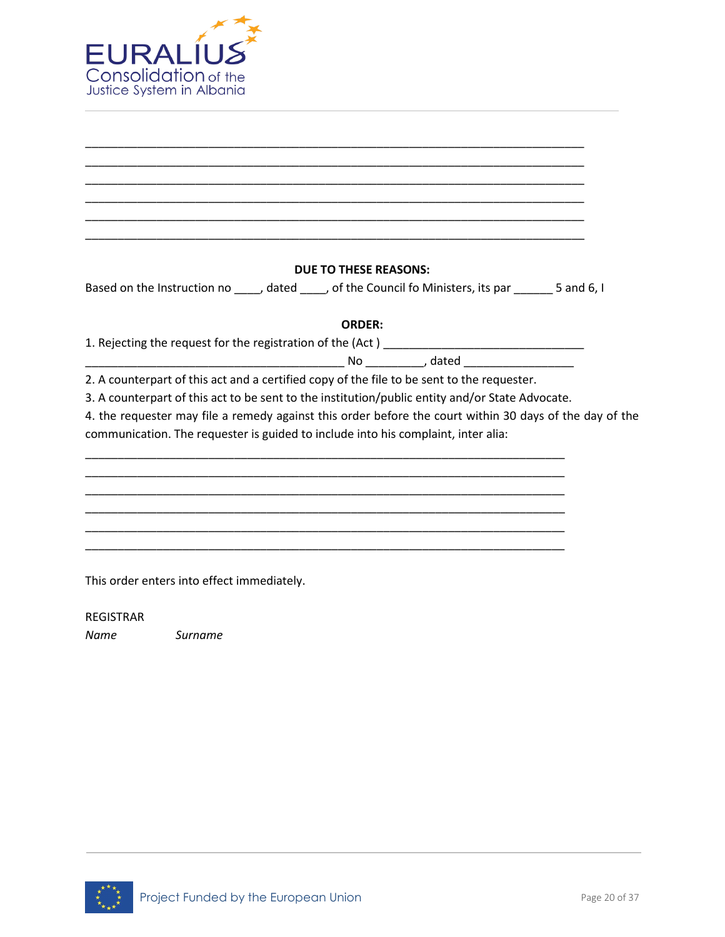

| <b>DUE TO THESE REASONS:</b>                                                                            |  |
|---------------------------------------------------------------------------------------------------------|--|
| Based on the Instruction no _____, dated _____, of the Council fo Ministers, its par _______ 5 and 6, I |  |
| <b>ORDER:</b>                                                                                           |  |
|                                                                                                         |  |
|                                                                                                         |  |
| 2. A counterpart of this act and a certified copy of the file to be sent to the requester.              |  |
| 3. A counterpart of this act to be sent to the institution/public entity and/or State Advocate.         |  |
| 4. the requester may file a remedy against this order before the court within 30 days of the day of the |  |
| communication. The requester is guided to include into his complaint, inter alia:                       |  |
|                                                                                                         |  |
|                                                                                                         |  |
|                                                                                                         |  |
|                                                                                                         |  |
|                                                                                                         |  |
|                                                                                                         |  |
| This order enters into effect immediately.                                                              |  |

REGISTRAR

*Name Surname* 

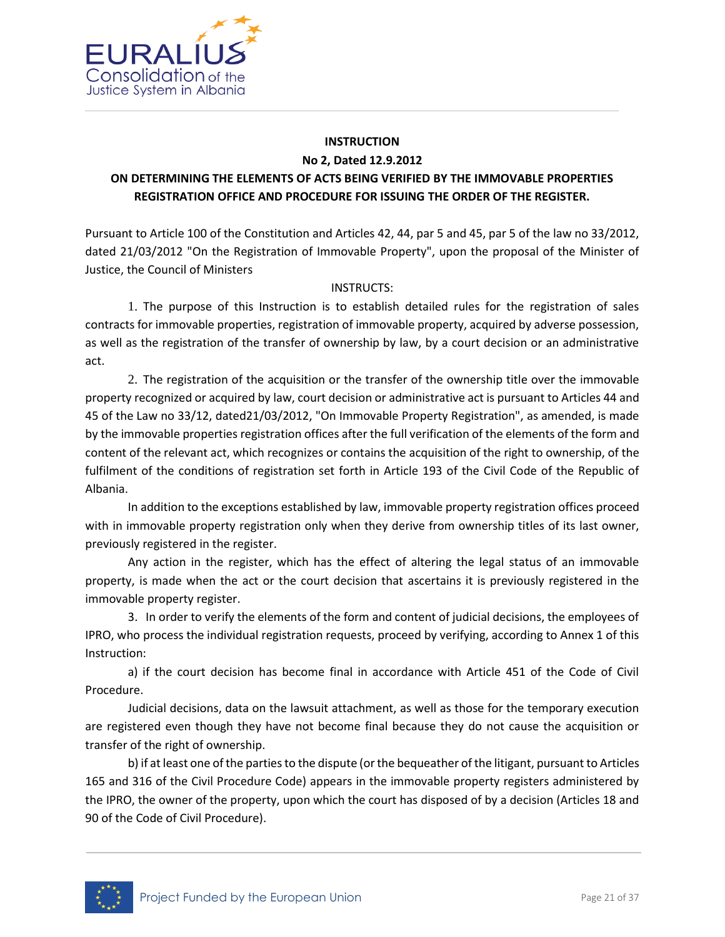

#### **INSTRUCTION No 2, Dated 12.9.2012**

# **ON DETERMINING THE ELEMENTS OF ACTS BEING VERIFIED BY THE IMMOVABLE PROPERTIES REGISTRATION OFFICE AND PROCEDURE FOR ISSUING THE ORDER OF THE REGISTER.**

Pursuant to Article 100 of the Constitution and Articles 42, 44, par 5 and 45, par 5 of the law no 33/2012, dated 21/03/2012 "On the Registration of Immovable Property", upon the proposal of the Minister of Justice, the Council of Ministers

# INSTRUCTS:

1. The purpose of this Instruction is to establish detailed rules for the registration of sales contracts for immovable properties, registration of immovable property, acquired by adverse possession, as well as the registration of the transfer of ownership by law, by a court decision or an administrative act.

2. The registration of the acquisition or the transfer of the ownership title over the immovable property recognized or acquired by law, court decision or administrative act is pursuant to Articles 44 and 45 of the Law no 33/12, dated21/03/2012, "On Immovable Property Registration", as amended, is made by the immovable properties registration offices after the full verification of the elements of the form and content of the relevant act, which recognizes or contains the acquisition of the right to ownership, of the fulfilment of the conditions of registration set forth in Article 193 of the Civil Code of the Republic of Albania.

In addition to the exceptions established by law, immovable property registration offices proceed with in immovable property registration only when they derive from ownership titles of its last owner, previously registered in the register.

Any action in the register, which has the effect of altering the legal status of an immovable property, is made when the act or the court decision that ascertains it is previously registered in the immovable property register.

3. In order to verify the elements of the form and content of judicial decisions, the employees of IPRO, who process the individual registration requests, proceed by verifying, according to Annex 1 of this Instruction:

a) if the court decision has become final in accordance with Article 451 of the Code of Civil Procedure.

Judicial decisions, data on the lawsuit attachment, as well as those for the temporary execution are registered even though they have not become final because they do not cause the acquisition or transfer of the right of ownership.

b) if at least one of the parties to the dispute (or the bequeather of the litigant, pursuant to Articles 165 and 316 of the Civil Procedure Code) appears in the immovable property registers administered by the IPRO, the owner of the property, upon which the court has disposed of by a decision (Articles 18 and 90 of the Code of Civil Procedure).

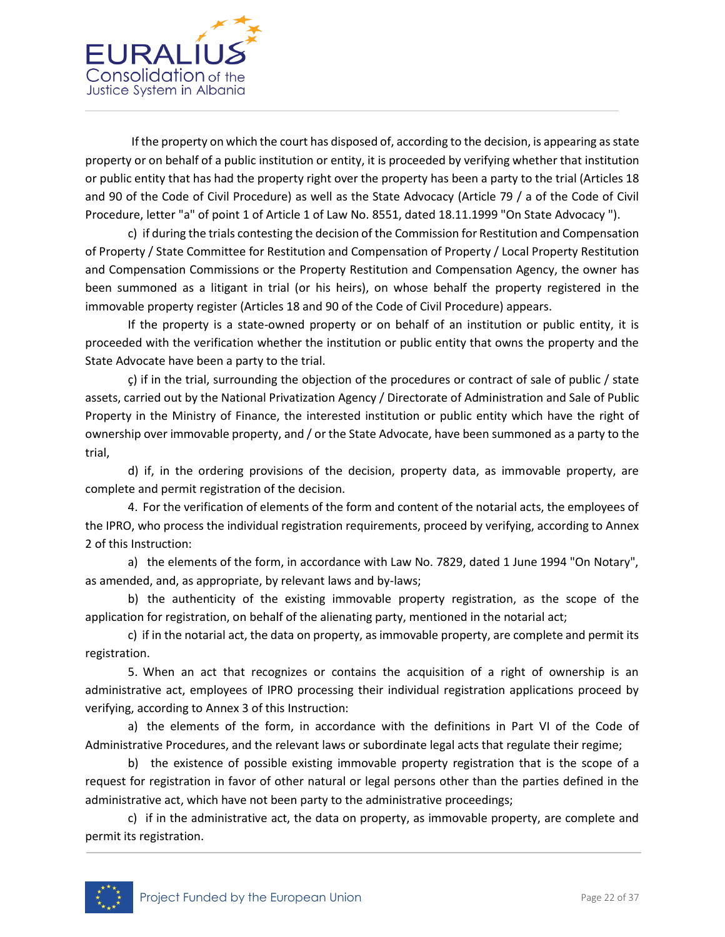

If the property on which the court has disposed of, according to the decision, is appearing as state property or on behalf of a public institution or entity, it is proceeded by verifying whether that institution or public entity that has had the property right over the property has been a party to the trial (Articles 18 and 90 of the Code of Civil Procedure) as well as the State Advocacy (Article 79 / a of the Code of Civil Procedure, letter "a" of point 1 of Article 1 of Law No. 8551, dated 18.11.1999 "On State Advocacy ").

c) if during the trials contesting the decision of the Commission for Restitution and Compensation of Property / State Committee for Restitution and Compensation of Property / Local Property Restitution and Compensation Commissions or the Property Restitution and Compensation Agency, the owner has been summoned as a litigant in trial (or his heirs), on whose behalf the property registered in the immovable property register (Articles 18 and 90 of the Code of Civil Procedure) appears.

If the property is a state-owned property or on behalf of an institution or public entity, it is proceeded with the verification whether the institution or public entity that owns the property and the State Advocate have been a party to the trial.

ç) if in the trial, surrounding the objection of the procedures or contract of sale of public / state assets, carried out by the National Privatization Agency / Directorate of Administration and Sale of Public Property in the Ministry of Finance, the interested institution or public entity which have the right of ownership over immovable property, and / or the State Advocate, have been summoned as a party to the trial,

d) if, in the ordering provisions of the decision, property data, as immovable property, are complete and permit registration of the decision.

4. For the verification of elements of the form and content of the notarial acts, the employees of the IPRO, who process the individual registration requirements, proceed by verifying, according to Annex 2 of this Instruction:

a) the elements of the form, in accordance with Law No. 7829, dated 1 June 1994 "On Notary", as amended, and, as appropriate, by relevant laws and by-laws;

b) the authenticity of the existing immovable property registration, as the scope of the application for registration, on behalf of the alienating party, mentioned in the notarial act;

c) if in the notarial act, the data on property, as immovable property, are complete and permit its registration.

5. When an act that recognizes or contains the acquisition of a right of ownership is an administrative act, employees of IPRO processing their individual registration applications proceed by verifying, according to Annex 3 of this Instruction:

a) the elements of the form, in accordance with the definitions in Part VI of the Code of Administrative Procedures, and the relevant laws or subordinate legal acts that regulate their regime;

b) the existence of possible existing immovable property registration that is the scope of a request for registration in favor of other natural or legal persons other than the parties defined in the administrative act, which have not been party to the administrative proceedings;

c) if in the administrative act, the data on property, as immovable property, are complete and permit its registration.

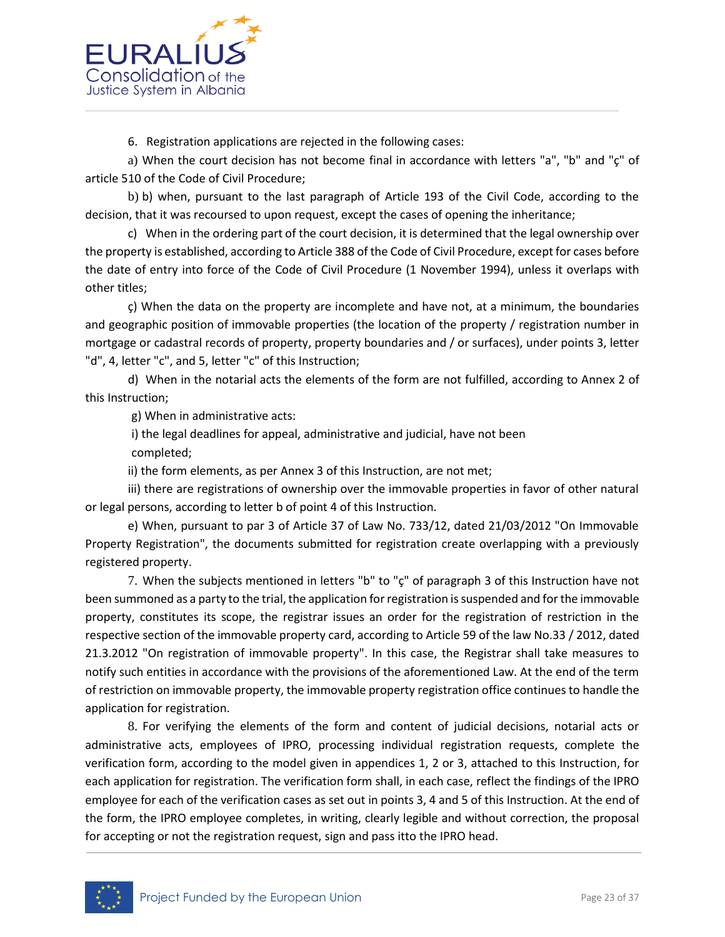

6. Registration applications are rejected in the following cases:

a) When the court decision has not become final in accordance with letters "a", "b" and "ç" of article 510 of the Code of Civil Procedure;

b) b) when, pursuant to the last paragraph of Article 193 of the Civil Code, according to the decision, that it was recoursed to upon request, except the cases of opening the inheritance;

c) When in the ordering part of the court decision, it is determined that the legal ownership over the property is established, according to Article 388 of the Code of Civil Procedure, except for cases before the date of entry into force of the Code of Civil Procedure (1 November 1994), unless it overlaps with other titles;

ç) When the data on the property are incomplete and have not, at a minimum, the boundaries and geographic position of immovable properties (the location of the property / registration number in mortgage or cadastral records of property, property boundaries and / or surfaces), under points 3, letter "d", 4, letter "c", and 5, letter "c" of this Instruction;

d) When in the notarial acts the elements of the form are not fulfilled, according to Annex 2 of this Instruction;

g) When in administrative acts:

i) the legal deadlines for appeal, administrative and judicial, have not been

completed;

ii) the form elements, as per Annex 3 of this Instruction, are not met;

iii) there are registrations of ownership over the immovable properties in favor of other natural or legal persons, according to letter b of point 4 of this Instruction.

e) When, pursuant to par 3 of Article 37 of Law No. 733/12, dated 21/03/2012 "On Immovable Property Registration", the documents submitted for registration create overlapping with a previously registered property.

7. When the subjects mentioned in letters "b" to "ç" of paragraph 3 of this Instruction have not been summoned as a party to the trial, the application for registration is suspended and for the immovable property, constitutes its scope, the registrar issues an order for the registration of restriction in the respective section of the immovable property card, according to Article 59 of the law No.33 / 2012, dated 21.3.2012 "On registration of immovable property". In this case, the Registrar shall take measures to notify such entities in accordance with the provisions of the aforementioned Law. At the end of the term of restriction on immovable property, the immovable property registration office continues to handle the application for registration.

8. For verifying the elements of the form and content of judicial decisions, notarial acts or administrative acts, employees of IPRO, processing individual registration requests, complete the verification form, according to the model given in appendices 1, 2 or 3, attached to this Instruction, for each application for registration. The verification form shall, in each case, reflect the findings of the IPRO employee for each of the verification cases as set out in points 3, 4 and 5 of this Instruction. At the end of the form, the IPRO employee completes, in writing, clearly legible and without correction, the proposal for accepting or not the registration request, sign and pass itto the IPRO head.

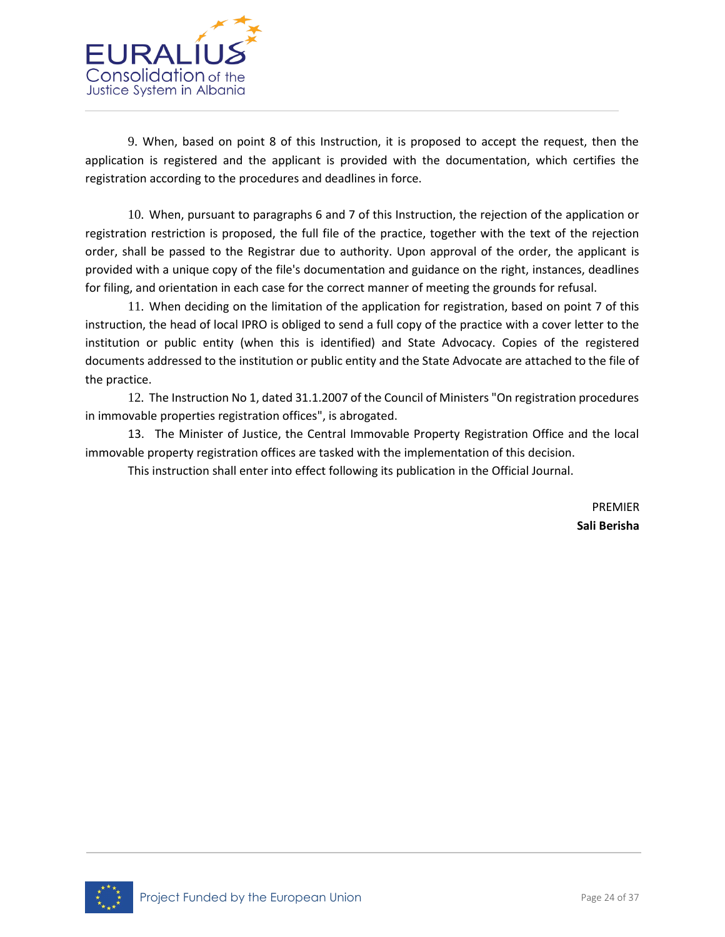

9. When, based on point 8 of this Instruction, it is proposed to accept the request, then the application is registered and the applicant is provided with the documentation, which certifies the registration according to the procedures and deadlines in force.

10. When, pursuant to paragraphs 6 and 7 of this Instruction, the rejection of the application or registration restriction is proposed, the full file of the practice, together with the text of the rejection order, shall be passed to the Registrar due to authority. Upon approval of the order, the applicant is provided with a unique copy of the file's documentation and guidance on the right, instances, deadlines for filing, and orientation in each case for the correct manner of meeting the grounds for refusal.

11. When deciding on the limitation of the application for registration, based on point 7 of this instruction, the head of local IPRO is obliged to send a full copy of the practice with a cover letter to the institution or public entity (when this is identified) and State Advocacy. Copies of the registered documents addressed to the institution or public entity and the State Advocate are attached to the file of the practice.

12. The Instruction No 1, dated 31.1.2007 of the Council of Ministers "On registration procedures in immovable properties registration offices", is abrogated.

13. The Minister of Justice, the Central Immovable Property Registration Office and the local immovable property registration offices are tasked with the implementation of this decision.

This instruction shall enter into effect following its publication in the Official Journal.

PREMIER **Sali Berisha**

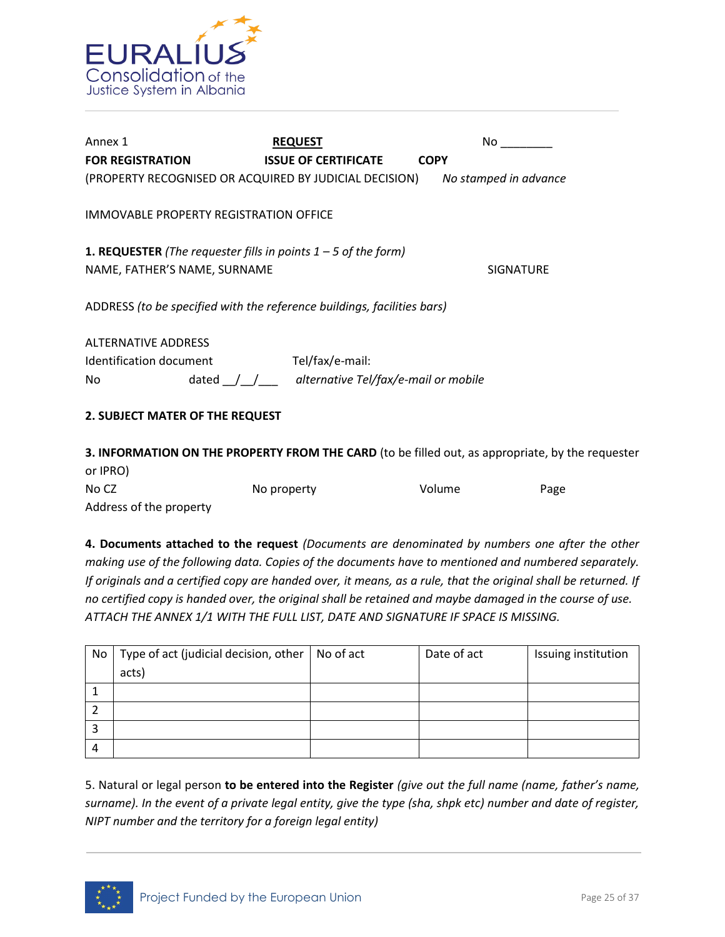

| Annex 1                                                                                                 | <b>REQUEST</b>                                                  | No.                   |
|---------------------------------------------------------------------------------------------------------|-----------------------------------------------------------------|-----------------------|
| <b>FOR REGISTRATION</b>                                                                                 | <b>ISSUE OF CERTIFICATE</b>                                     | <b>COPY</b>           |
| (PROPERTY RECOGNISED OR ACQUIRED BY JUDICIAL DECISION)                                                  |                                                                 | No stamped in advance |
| IMMOVABLE PROPERTY REGISTRATION OFFICE                                                                  |                                                                 |                       |
| <b>1. REQUESTER</b> (The requester fills in points $1 - 5$ of the form)<br>NAME, FATHER'S NAME, SURNAME |                                                                 | <b>SIGNATURE</b>      |
| ADDRESS (to be specified with the reference buildings, facilities bars)                                 |                                                                 |                       |
| <b>ALTERNATIVE ADDRESS</b>                                                                              |                                                                 |                       |
| Identification document                                                                                 | Tel/fax/e-mail:                                                 |                       |
| No                                                                                                      | dated $\frac{1}{\sqrt{2}}$ alternative Tel/fax/e-mail or mobile |                       |
| 2. SUBJECT MATER OF THE REQUEST                                                                         |                                                                 |                       |
| .                                                                                                       | .                                                               |                       |

**3. INFORMATION ON THE PROPERTY FROM THE CARD** (to be filled out, as appropriate, by the requester or IPRO) No CZ No property No volume Page Address of the property

**4. Documents attached to the request** *(Documents are denominated by numbers one after the other making use of the following data. Copies of the documents have to mentioned and numbered separately. If originals and a certified copy are handed over, it means, as a rule, that the original shall be returned. If no certified copy is handed over, the original shall be retained and maybe damaged in the course of use. ATTACH THE ANNEX 1/1 WITH THE FULL LIST, DATE AND SIGNATURE IF SPACE IS MISSING.* 

| No | Type of act (judicial decision, other $\vert$ No of act | Date of act | Issuing institution |
|----|---------------------------------------------------------|-------------|---------------------|
|    | acts)                                                   |             |                     |
|    |                                                         |             |                     |
|    |                                                         |             |                     |
| э  |                                                         |             |                     |
| 4  |                                                         |             |                     |

5. Natural or legal person **to be entered into the Register** *(give out the full name (name, father's name, surname). In the event of a private legal entity, give the type (sha, shpk etc) number and date of register, NIPT number and the territory for a foreign legal entity)*

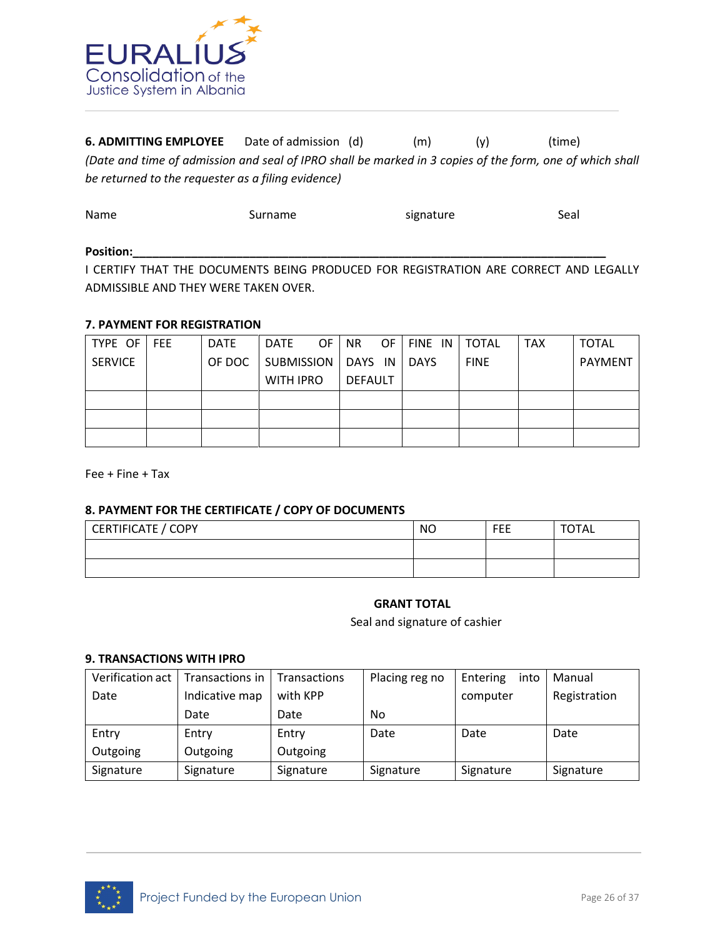

**6. ADMITTING EMPLOYEE** Date of admission (d) (m) (y) (time) *(Date and time of admission and seal of IPRO shall be marked in 3 copies of the form, one of which shall be returned to the requester as a filing evidence)* 

| Name  | Surname | signature | Seal |
|-------|---------|-----------|------|
| _____ |         |           |      |

#### Position:\_\_\_\_

I CERTIFY THAT THE DOCUMENTS BEING PRODUCED FOR REGISTRATION ARE CORRECT AND LEGALLY ADMISSIBLE AND THEY WERE TAKEN OVER.

# **7. PAYMENT FOR REGISTRATION**

| TYPE OF        | <b>FEE</b> | <b>DATE</b> | DATE                 | OF. | NR.     | OF. | FINE IN     | <b>TOTAL</b> | <b>TAX</b> | <b>TOTAL</b>   |
|----------------|------------|-------------|----------------------|-----|---------|-----|-------------|--------------|------------|----------------|
| <b>SERVICE</b> |            | OF DOC      | SUBMISSION   DAYS IN |     |         |     | <b>DAYS</b> | <b>FINE</b>  |            | <b>PAYMENT</b> |
|                |            |             | <b>WITH IPRO</b>     |     | DEFAULT |     |             |              |            |                |
|                |            |             |                      |     |         |     |             |              |            |                |
|                |            |             |                      |     |         |     |             |              |            |                |
|                |            |             |                      |     |         |     |             |              |            |                |

Fee + Fine + Tax

#### **8. PAYMENT FOR THE CERTIFICATE / COPY OF DOCUMENTS**

| CERTIFICATE / COPY | <b>NO</b> | <b>FEE</b> | <b>TOTAL</b> |
|--------------------|-----------|------------|--------------|
|                    |           |            |              |
|                    |           |            |              |

#### **GRANT TOTAL**

Seal and signature of cashier

#### **9. TRANSACTIONS WITH IPRO**

| Verification act 1 | Transactions in   Transactions |          | Placing reg no | Entering<br>into | Manual       |
|--------------------|--------------------------------|----------|----------------|------------------|--------------|
| Date               | Indicative map                 | with KPP |                | computer         | Registration |
|                    | Date                           | Date     | No             |                  |              |
|                    |                                |          |                |                  |              |
| Entry              | Entry                          | Entry    | Date           | Date             | Date         |
| Outgoing           | Outgoing                       | Outgoing |                |                  |              |

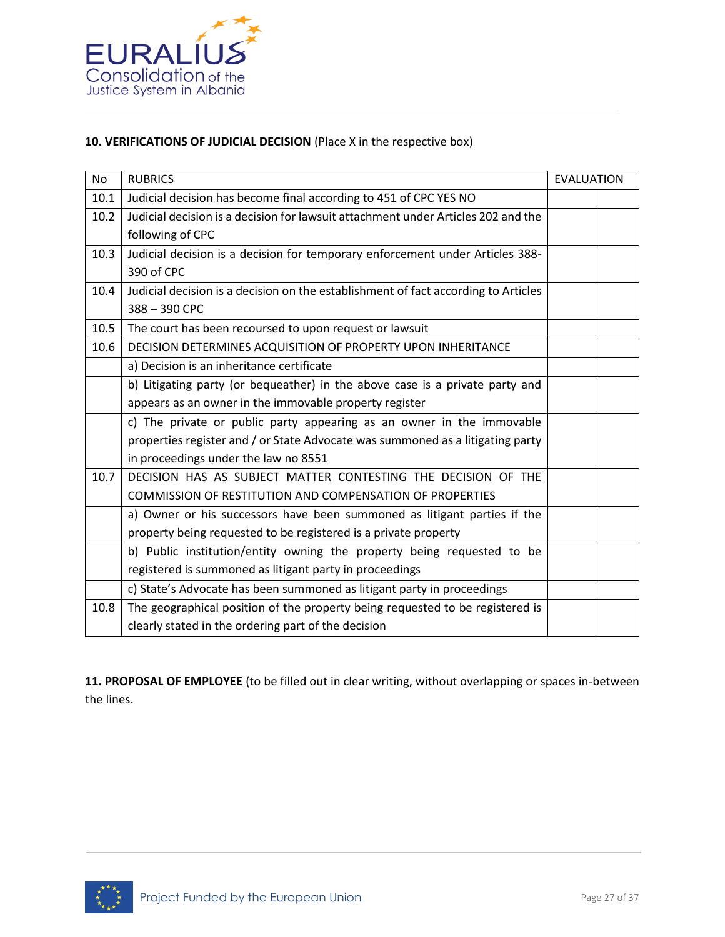

## **10. VERIFICATIONS OF JUDICIAL DECISION** (Place X in the respective box)

| <b>No</b> | <b>RUBRICS</b>                                                                     | <b>EVALUATION</b> |  |
|-----------|------------------------------------------------------------------------------------|-------------------|--|
| 10.1      | Judicial decision has become final according to 451 of CPC YES NO                  |                   |  |
| 10.2      | Judicial decision is a decision for lawsuit attachment under Articles 202 and the  |                   |  |
|           | following of CPC                                                                   |                   |  |
| 10.3      | Judicial decision is a decision for temporary enforcement under Articles 388-      |                   |  |
|           | 390 of CPC                                                                         |                   |  |
| 10.4      | Judicial decision is a decision on the establishment of fact according to Articles |                   |  |
|           | 388-390 CPC                                                                        |                   |  |
| 10.5      | The court has been recoursed to upon request or lawsuit                            |                   |  |
| 10.6      | DECISION DETERMINES ACQUISITION OF PROPERTY UPON INHERITANCE                       |                   |  |
|           | a) Decision is an inheritance certificate                                          |                   |  |
|           | b) Litigating party (or bequeather) in the above case is a private party and       |                   |  |
|           | appears as an owner in the immovable property register                             |                   |  |
|           | c) The private or public party appearing as an owner in the immovable              |                   |  |
|           | properties register and / or State Advocate was summoned as a litigating party     |                   |  |
|           | in proceedings under the law no 8551                                               |                   |  |
| 10.7      | DECISION HAS AS SUBJECT MATTER CONTESTING THE DECISION OF THE                      |                   |  |
|           | COMMISSION OF RESTITUTION AND COMPENSATION OF PROPERTIES                           |                   |  |
|           | a) Owner or his successors have been summoned as litigant parties if the           |                   |  |
|           | property being requested to be registered is a private property                    |                   |  |
|           | b) Public institution/entity owning the property being requested to be             |                   |  |
|           | registered is summoned as litigant party in proceedings                            |                   |  |
|           | c) State's Advocate has been summoned as litigant party in proceedings             |                   |  |
| 10.8      | The geographical position of the property being requested to be registered is      |                   |  |
|           | clearly stated in the ordering part of the decision                                |                   |  |

**11. PROPOSAL OF EMPLOYEE** (to be filled out in clear writing, without overlapping or spaces in-between the lines.

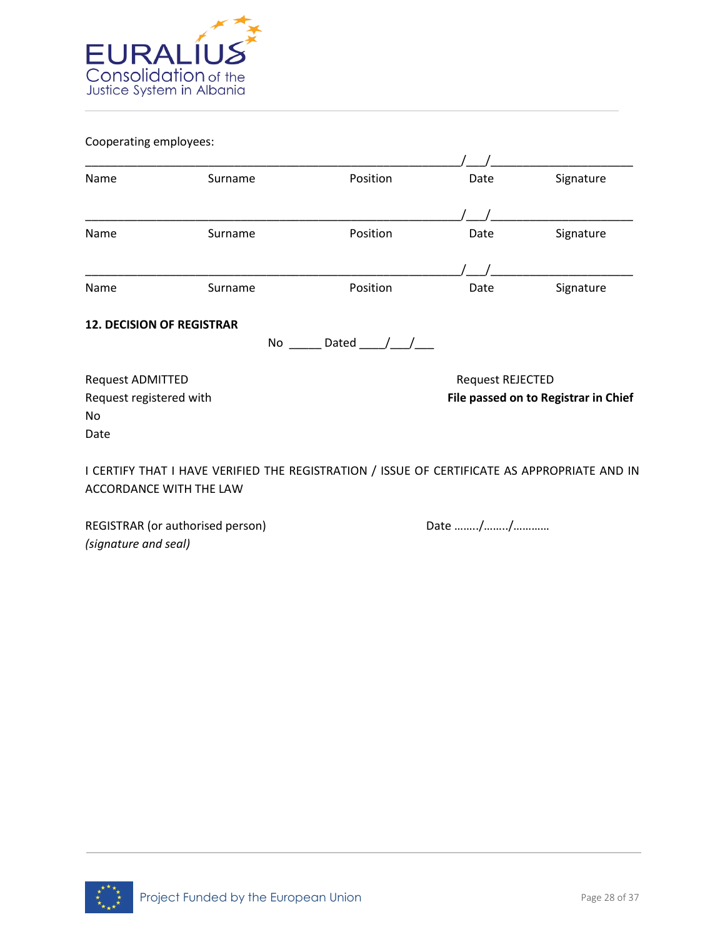

Cooperating employees:

| Name                    | Surname                                                                                      | Position      | Date             | Signature                            |
|-------------------------|----------------------------------------------------------------------------------------------|---------------|------------------|--------------------------------------|
|                         |                                                                                              |               |                  |                                      |
| Name                    | Surname                                                                                      | Position      | Date             | Signature                            |
|                         |                                                                                              |               |                  |                                      |
| Name                    | Surname                                                                                      | Position      | Date             | Signature                            |
|                         | <b>12. DECISION OF REGISTRAR</b><br>No                                                       | Dated $/$ $/$ |                  |                                      |
| <b>Request ADMITTED</b> |                                                                                              |               | Request REJECTED |                                      |
| Request registered with |                                                                                              |               |                  | File passed on to Registrar in Chief |
| No                      |                                                                                              |               |                  |                                      |
| Date                    |                                                                                              |               |                  |                                      |
|                         | I CERTIFY THAT I HAVE VERIFIED THE REGISTRATION / ISSUE OF CERTIFICATE AS APPROPRIATE AND IN |               |                  |                                      |
|                         | <b>ACCORDANCE WITH THE LAW</b>                                                               |               |                  |                                      |
|                         |                                                                                              |               |                  |                                      |

REGISTRAR (or authorised person) Date many metal base in the Date many metal of the Date many metal of the Date many metal of the Ref. of the Date many metal of the Date many metal of the Date many metal of the Date many m *(signature and seal)* 

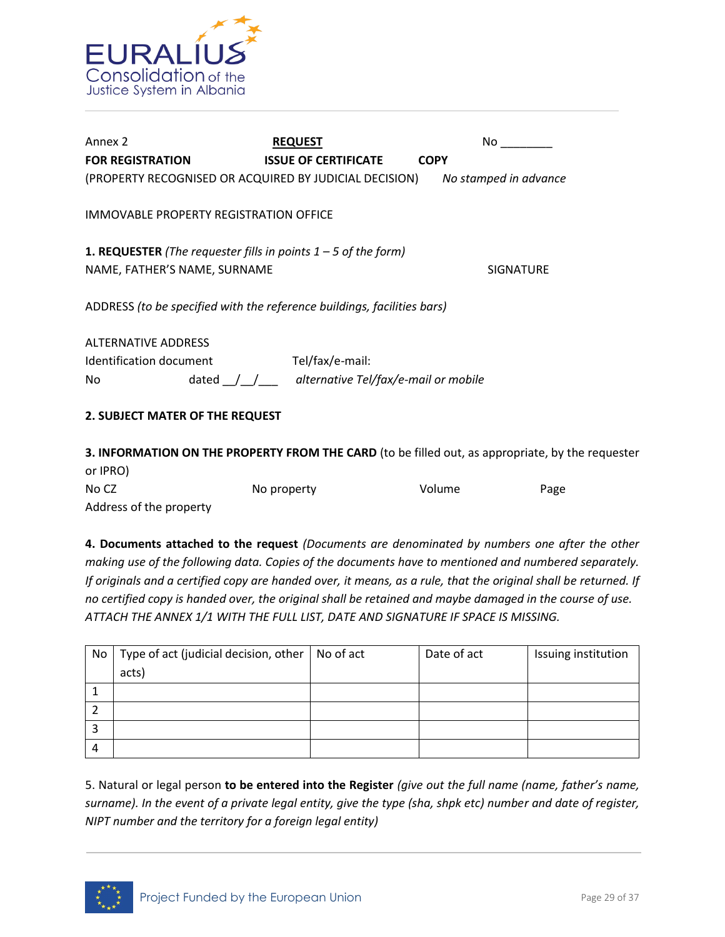

| Annex 2                                                                                                 | <b>REQUEST</b>                                           | No.                   |
|---------------------------------------------------------------------------------------------------------|----------------------------------------------------------|-----------------------|
| <b>FOR REGISTRATION</b>                                                                                 | <b>ISSUE OF CERTIFICATE</b>                              | <b>COPY</b>           |
| (PROPERTY RECOGNISED OR ACQUIRED BY JUDICIAL DECISION)                                                  |                                                          | No stamped in advance |
| IMMOVABLE PROPERTY REGISTRATION OFFICE                                                                  |                                                          |                       |
| <b>1. REQUESTER</b> (The requester fills in points $1 - 5$ of the form)<br>NAME, FATHER'S NAME, SURNAME |                                                          | <b>SIGNATURE</b>      |
| ADDRESS (to be specified with the reference buildings, facilities bars)                                 |                                                          |                       |
| <b>ALTERNATIVE ADDRESS</b>                                                                              |                                                          |                       |
| Identification document                                                                                 | Tel/fax/e-mail:                                          |                       |
| No                                                                                                      | dated $\int$ $\int$ alternative Tel/fax/e-mail or mobile |                       |
| 2. SUBJECT MATER OF THE REQUEST                                                                         |                                                          |                       |
|                                                                                                         |                                                          |                       |

**3. INFORMATION ON THE PROPERTY FROM THE CARD** (to be filled out, as appropriate, by the requester or IPRO) No CZ No property No volume Page Address of the property

**4. Documents attached to the request** *(Documents are denominated by numbers one after the other making use of the following data. Copies of the documents have to mentioned and numbered separately. If originals and a certified copy are handed over, it means, as a rule, that the original shall be returned. If no certified copy is handed over, the original shall be retained and maybe damaged in the course of use. ATTACH THE ANNEX 1/1 WITH THE FULL LIST, DATE AND SIGNATURE IF SPACE IS MISSING.* 

| No | Type of act (judicial decision, other $\vert$ No of act | Date of act | Issuing institution |
|----|---------------------------------------------------------|-------------|---------------------|
|    | acts)                                                   |             |                     |
|    |                                                         |             |                     |
|    |                                                         |             |                     |
|    |                                                         |             |                     |
| 4  |                                                         |             |                     |

5. Natural or legal person **to be entered into the Register** *(give out the full name (name, father's name, surname). In the event of a private legal entity, give the type (sha, shpk etc) number and date of register, NIPT number and the territory for a foreign legal entity)*

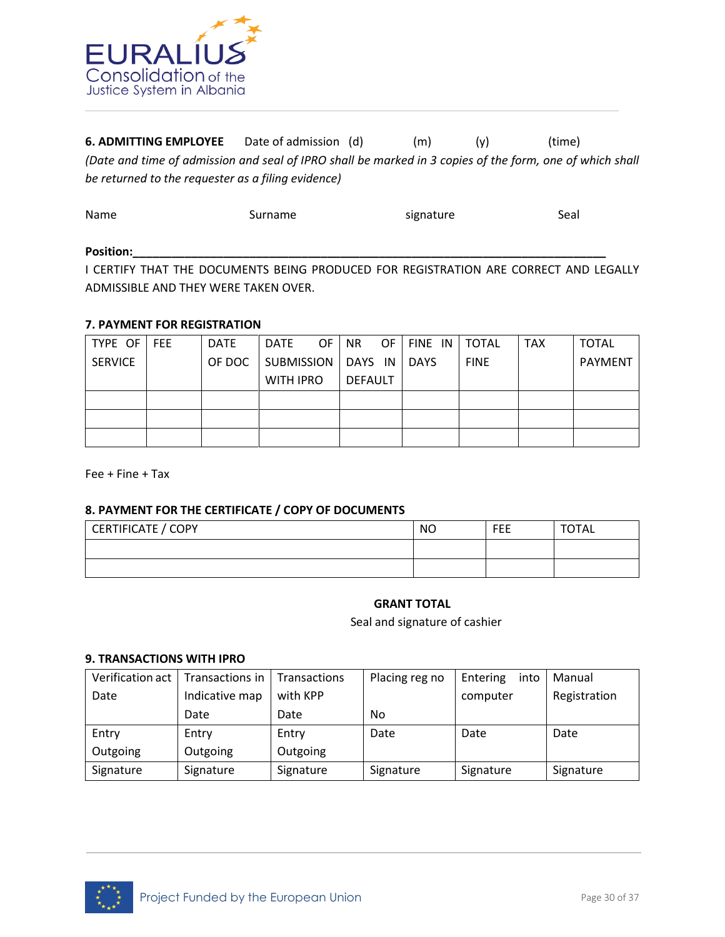

**6. ADMITTING EMPLOYEE** Date of admission (d) (m) (y) (time) *(Date and time of admission and seal of IPRO shall be marked in 3 copies of the form, one of which shall be returned to the requester as a filing evidence)* 

| Name  | Surname | signature | Seal |
|-------|---------|-----------|------|
| _____ |         |           |      |

#### Position:\_\_\_\_

I CERTIFY THAT THE DOCUMENTS BEING PRODUCED FOR REGISTRATION ARE CORRECT AND LEGALLY ADMISSIBLE AND THEY WERE TAKEN OVER.

# **7. PAYMENT FOR REGISTRATION**

| TYPE OF        | <b>FEE</b> | <b>DATE</b> | DATE                 | OF. | NR.     | OF. | FINE IN     | <b>TOTAL</b> | <b>TAX</b> | <b>TOTAL</b>   |
|----------------|------------|-------------|----------------------|-----|---------|-----|-------------|--------------|------------|----------------|
| <b>SERVICE</b> |            | OF DOC      | SUBMISSION   DAYS IN |     |         |     | <b>DAYS</b> | <b>FINE</b>  |            | <b>PAYMENT</b> |
|                |            |             | <b>WITH IPRO</b>     |     | DEFAULT |     |             |              |            |                |
|                |            |             |                      |     |         |     |             |              |            |                |
|                |            |             |                      |     |         |     |             |              |            |                |
|                |            |             |                      |     |         |     |             |              |            |                |

Fee + Fine + Tax

#### **8. PAYMENT FOR THE CERTIFICATE / COPY OF DOCUMENTS**

| CERTIFICATE / COPY | <b>NO</b> | <b>FEE</b> | <b>TOTAL</b> |
|--------------------|-----------|------------|--------------|
|                    |           |            |              |
|                    |           |            |              |

#### **GRANT TOTAL**

Seal and signature of cashier

#### **9. TRANSACTIONS WITH IPRO**

| Verification act 1 | Transactions in   Transactions |          | Placing reg no | Entering<br>into | Manual       |
|--------------------|--------------------------------|----------|----------------|------------------|--------------|
| Date               | Indicative map                 | with KPP |                | computer         | Registration |
|                    | Date                           | Date     | No             |                  |              |
|                    |                                |          |                |                  |              |
| Entry              | Entry                          | Entry    | Date           | Date             | Date         |
| Outgoing           | Outgoing                       | Outgoing |                |                  |              |

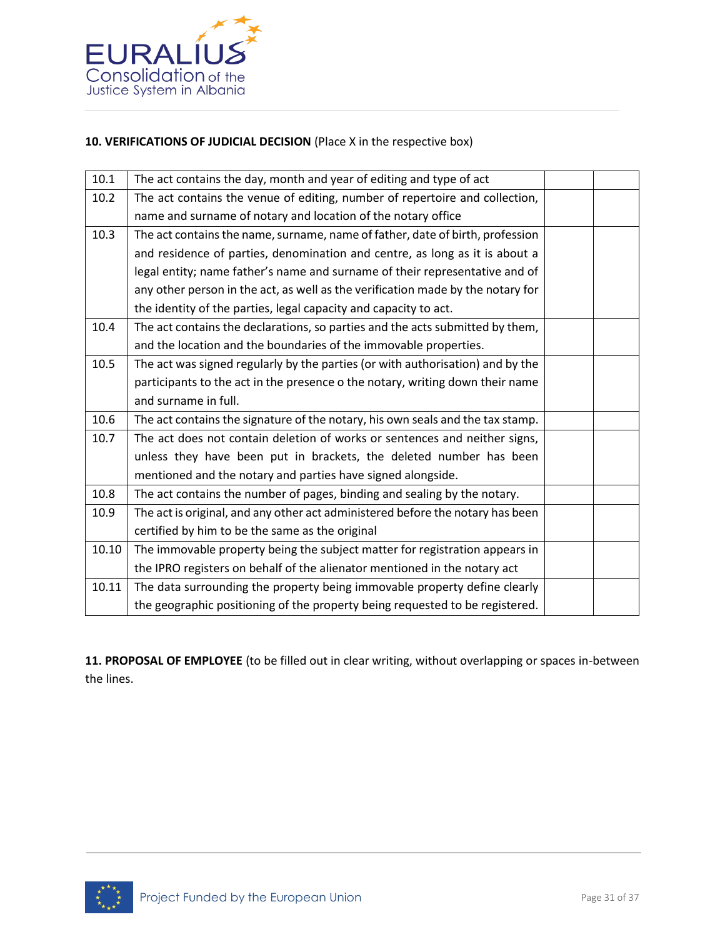

# **10. VERIFICATIONS OF JUDICIAL DECISION** (Place X in the respective box)

| 10.1  | The act contains the day, month and year of editing and type of act             |  |
|-------|---------------------------------------------------------------------------------|--|
| 10.2  | The act contains the venue of editing, number of repertoire and collection,     |  |
|       | name and surname of notary and location of the notary office                    |  |
| 10.3  | The act contains the name, surname, name of father, date of birth, profession   |  |
|       | and residence of parties, denomination and centre, as long as it is about a     |  |
|       | legal entity; name father's name and surname of their representative and of     |  |
|       | any other person in the act, as well as the verification made by the notary for |  |
|       | the identity of the parties, legal capacity and capacity to act.                |  |
| 10.4  | The act contains the declarations, so parties and the acts submitted by them,   |  |
|       | and the location and the boundaries of the immovable properties.                |  |
| 10.5  | The act was signed regularly by the parties (or with authorisation) and by the  |  |
|       | participants to the act in the presence o the notary, writing down their name   |  |
|       | and surname in full.                                                            |  |
| 10.6  | The act contains the signature of the notary, his own seals and the tax stamp.  |  |
| 10.7  | The act does not contain deletion of works or sentences and neither signs,      |  |
|       | unless they have been put in brackets, the deleted number has been              |  |
|       | mentioned and the notary and parties have signed alongside.                     |  |
| 10.8  | The act contains the number of pages, binding and sealing by the notary.        |  |
| 10.9  | The act is original, and any other act administered before the notary has been  |  |
|       | certified by him to be the same as the original                                 |  |
| 10.10 | The immovable property being the subject matter for registration appears in     |  |
|       | the IPRO registers on behalf of the alienator mentioned in the notary act       |  |
| 10.11 | The data surrounding the property being immovable property define clearly       |  |
|       | the geographic positioning of the property being requested to be registered.    |  |

**11. PROPOSAL OF EMPLOYEE** (to be filled out in clear writing, without overlapping or spaces in-between the lines.

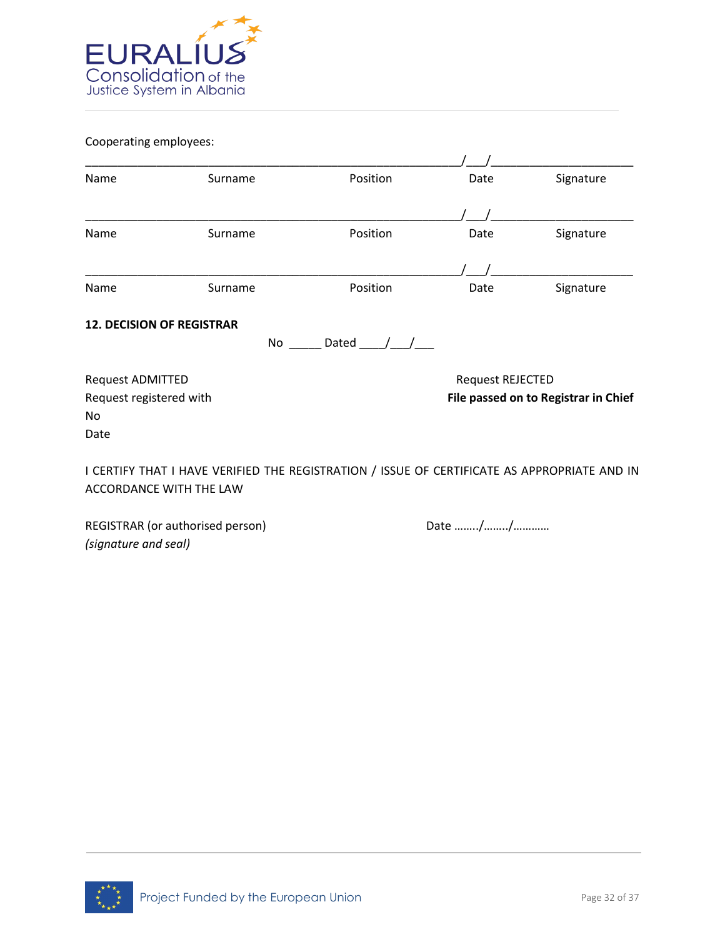

Cooperating employees:

| Name                             | Surname                                                                                      | Position    | Date                    | Signature                            |
|----------------------------------|----------------------------------------------------------------------------------------------|-------------|-------------------------|--------------------------------------|
|                                  |                                                                                              |             |                         |                                      |
| Name                             | Surname                                                                                      | Position    | Date                    | Signature                            |
|                                  |                                                                                              |             |                         |                                      |
| Name                             | Surname                                                                                      | Position    | Date                    | Signature                            |
| <b>12. DECISION OF REGISTRAR</b> | No                                                                                           | Dated $/ /$ |                         |                                      |
| <b>Request ADMITTED</b>          |                                                                                              |             | <b>Request REJECTED</b> |                                      |
| Request registered with          |                                                                                              |             |                         | File passed on to Registrar in Chief |
| No                               |                                                                                              |             |                         |                                      |
| Date                             |                                                                                              |             |                         |                                      |
|                                  | I CERTIFY THAT I HAVE VERIFIED THE REGISTRATION / ISSUE OF CERTIFICATE AS APPROPRIATE AND IN |             |                         |                                      |
|                                  | <b>ACCORDANCE WITH THE LAW</b>                                                               |             |                         |                                      |

REGISTRAR (or authorised person) Date many metal base in the Date many metal of the Date many metal of the Date many metal of the Ref. of the Date many metal of the Date many metal of the Date many metal of the Date many m *(signature and seal)* 

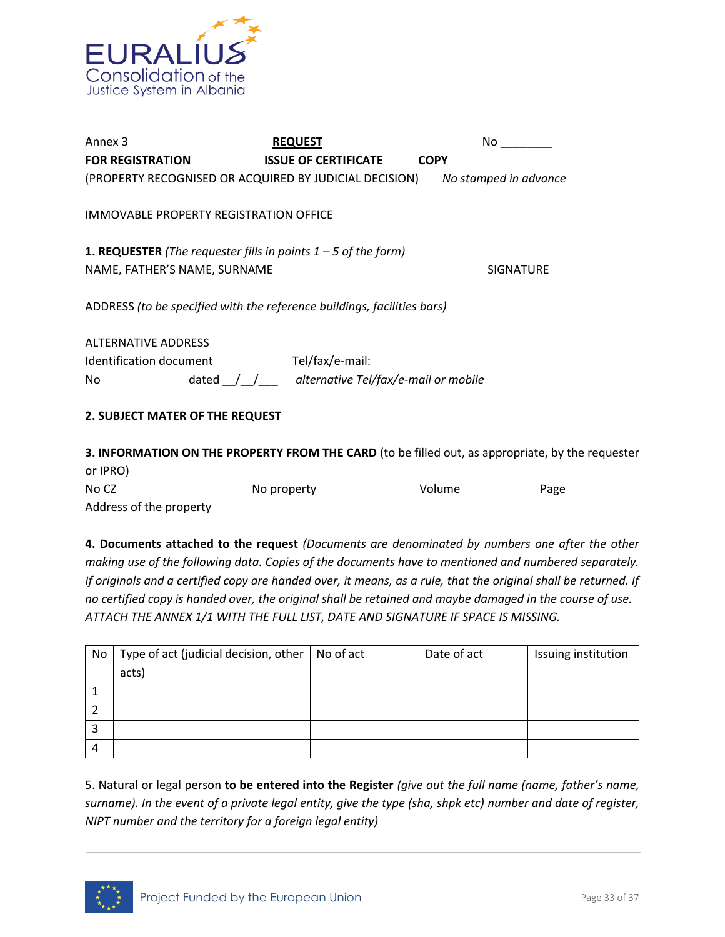

| Annex 3                                                                                                 | <b>REQUEST</b>                                           | No.                   |
|---------------------------------------------------------------------------------------------------------|----------------------------------------------------------|-----------------------|
| <b>FOR REGISTRATION</b>                                                                                 | <b>ISSUE OF CERTIFICATE</b>                              | <b>COPY</b>           |
| (PROPERTY RECOGNISED OR ACQUIRED BY JUDICIAL DECISION)                                                  |                                                          | No stamped in advance |
| IMMOVABLE PROPERTY REGISTRATION OFFICE                                                                  |                                                          |                       |
| <b>1. REQUESTER</b> (The requester fills in points $1 - 5$ of the form)<br>NAME, FATHER'S NAME, SURNAME |                                                          | <b>SIGNATURE</b>      |
| ADDRESS (to be specified with the reference buildings, facilities bars)                                 |                                                          |                       |
| <b>ALTERNATIVE ADDRESS</b>                                                                              |                                                          |                       |
| Identification document                                                                                 | Tel/fax/e-mail:                                          |                       |
| No                                                                                                      | dated $\int$ $\int$ alternative Tel/fax/e-mail or mobile |                       |
| 2. SUBJECT MATER OF THE REQUEST                                                                         |                                                          |                       |
|                                                                                                         |                                                          |                       |

**3. INFORMATION ON THE PROPERTY FROM THE CARD** (to be filled out, as appropriate, by the requester or IPRO) No CZ No property No volume Page Address of the property

**4. Documents attached to the request** *(Documents are denominated by numbers one after the other making use of the following data. Copies of the documents have to mentioned and numbered separately. If originals and a certified copy are handed over, it means, as a rule, that the original shall be returned. If no certified copy is handed over, the original shall be retained and maybe damaged in the course of use. ATTACH THE ANNEX 1/1 WITH THE FULL LIST, DATE AND SIGNATURE IF SPACE IS MISSING.* 

| No | Type of act (judicial decision, other $\vert$ No of act | Date of act | Issuing institution |
|----|---------------------------------------------------------|-------------|---------------------|
|    | acts)                                                   |             |                     |
|    |                                                         |             |                     |
|    |                                                         |             |                     |
| э  |                                                         |             |                     |
| 4  |                                                         |             |                     |

5. Natural or legal person **to be entered into the Register** *(give out the full name (name, father's name, surname). In the event of a private legal entity, give the type (sha, shpk etc) number and date of register, NIPT number and the territory for a foreign legal entity)*

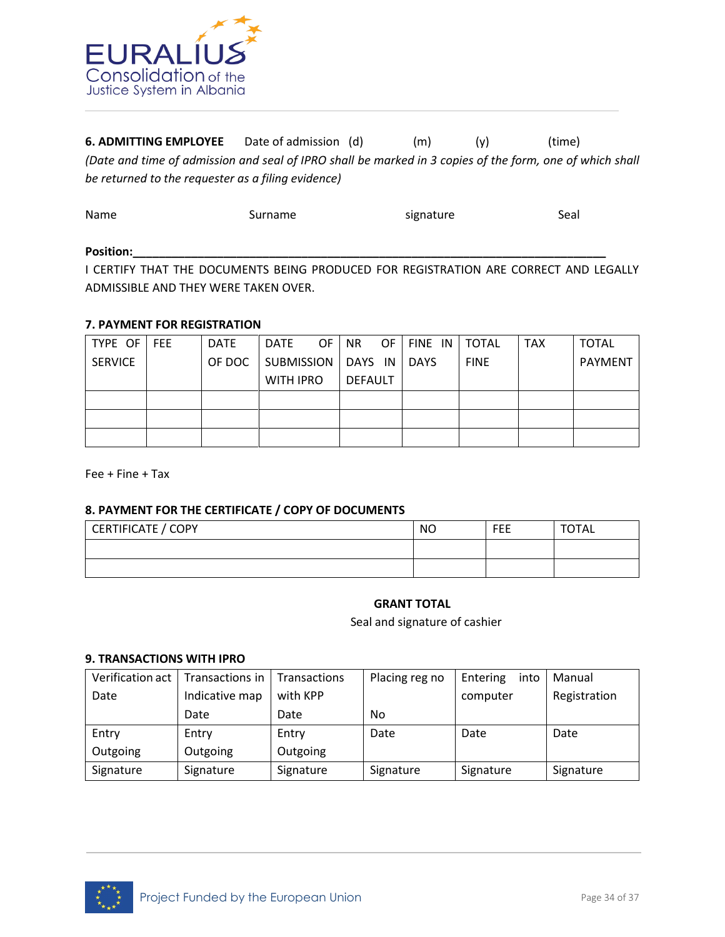

**6. ADMITTING EMPLOYEE** Date of admission (d) (m) (y) (time) *(Date and time of admission and seal of IPRO shall be marked in 3 copies of the form, one of which shall be returned to the requester as a filing evidence)* 

| Name  | Surname | signature | Seal |
|-------|---------|-----------|------|
| $  -$ |         |           |      |

#### Position:\_\_\_\_

I CERTIFY THAT THE DOCUMENTS BEING PRODUCED FOR REGISTRATION ARE CORRECT AND LEGALLY ADMISSIBLE AND THEY WERE TAKEN OVER.

#### **7. PAYMENT FOR REGISTRATION**

| TYPE OF        | <b>FEE</b> | <b>DATE</b> | DATE                 | OF. | NR.     | OF. | FINE IN     | <b>TOTAL</b> | <b>TAX</b> | <b>TOTAL</b>   |
|----------------|------------|-------------|----------------------|-----|---------|-----|-------------|--------------|------------|----------------|
| <b>SERVICE</b> |            | OF DOC      | SUBMISSION   DAYS IN |     |         |     | <b>DAYS</b> | <b>FINE</b>  |            | <b>PAYMENT</b> |
|                |            |             | <b>WITH IPRO</b>     |     | DEFAULT |     |             |              |            |                |
|                |            |             |                      |     |         |     |             |              |            |                |
|                |            |             |                      |     |         |     |             |              |            |                |
|                |            |             |                      |     |         |     |             |              |            |                |

Fee + Fine + Tax

#### **8. PAYMENT FOR THE CERTIFICATE / COPY OF DOCUMENTS**

| CERTIFICATE / COPY | <b>NO</b> | FEE | <b>TOTAL</b> |
|--------------------|-----------|-----|--------------|
|                    |           |     |              |
|                    |           |     |              |

# **GRANT TOTAL**

Seal and signature of cashier

#### **9. TRANSACTIONS WITH IPRO**

| Verification act 1 | l Transactions in | Transactions | Placing reg no | Entering<br>into | Manual       |
|--------------------|-------------------|--------------|----------------|------------------|--------------|
| Date               | Indicative map    | with KPP     |                | computer         | Registration |
|                    | Date              | Date         | No             |                  |              |
|                    |                   |              |                |                  |              |
| Entry              | Entry             | Entry        | Date           | Date             | Date         |
| Outgoing           | Outgoing          | Outgoing     |                |                  |              |

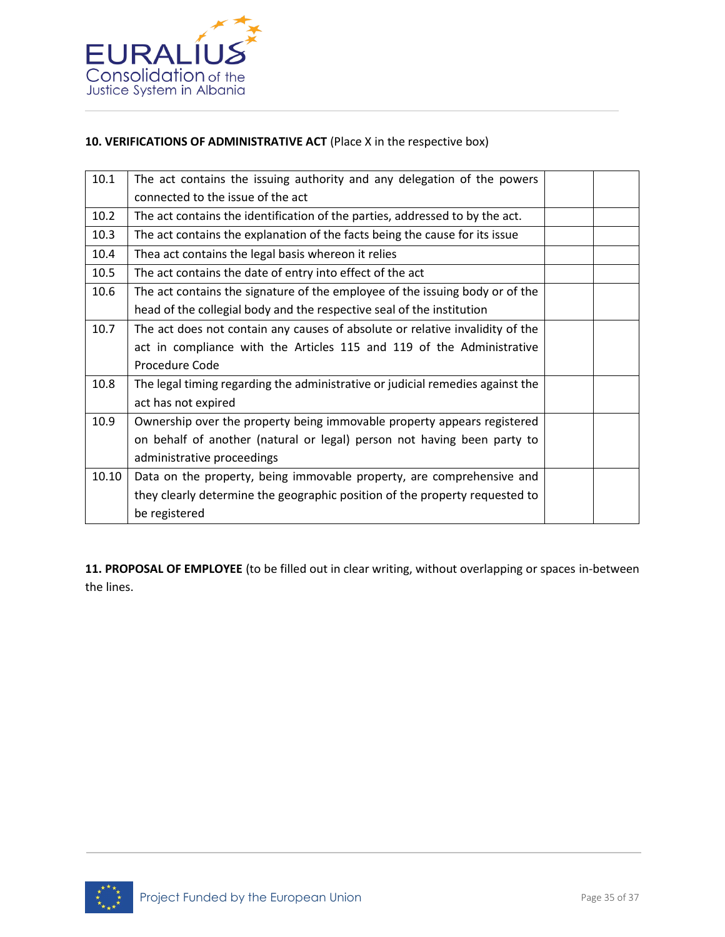

# **10. VERIFICATIONS OF ADMINISTRATIVE ACT** (Place X in the respective box)

| 10.1  | The act contains the issuing authority and any delegation of the powers        |  |
|-------|--------------------------------------------------------------------------------|--|
|       | connected to the issue of the act                                              |  |
| 10.2  | The act contains the identification of the parties, addressed to by the act.   |  |
| 10.3  | The act contains the explanation of the facts being the cause for its issue    |  |
| 10.4  | Thea act contains the legal basis whereon it relies                            |  |
| 10.5  | The act contains the date of entry into effect of the act                      |  |
| 10.6  | The act contains the signature of the employee of the issuing body or of the   |  |
|       | head of the collegial body and the respective seal of the institution          |  |
| 10.7  | The act does not contain any causes of absolute or relative invalidity of the  |  |
|       | act in compliance with the Articles 115 and 119 of the Administrative          |  |
|       | Procedure Code                                                                 |  |
| 10.8  | The legal timing regarding the administrative or judicial remedies against the |  |
|       | act has not expired                                                            |  |
| 10.9  | Ownership over the property being immovable property appears registered        |  |
|       | on behalf of another (natural or legal) person not having been party to        |  |
|       | administrative proceedings                                                     |  |
| 10.10 | Data on the property, being immovable property, are comprehensive and          |  |
|       | they clearly determine the geographic position of the property requested to    |  |
|       | be registered                                                                  |  |

**11. PROPOSAL OF EMPLOYEE** (to be filled out in clear writing, without overlapping or spaces in-between the lines.

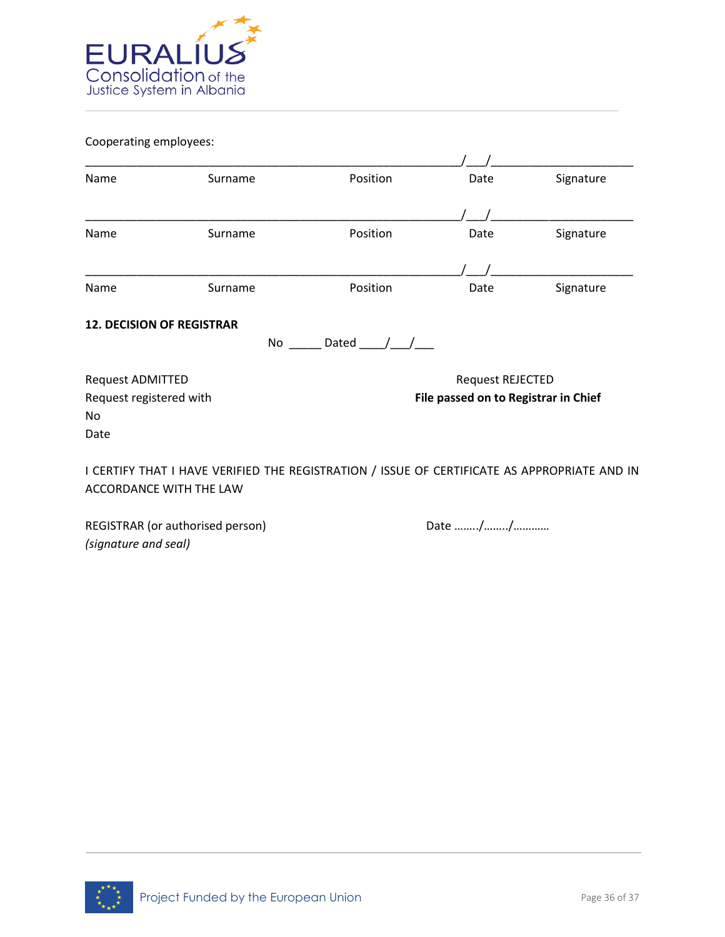

Cooperating employees:

| Name                             | Surname                                                                                                                        | Position      | Date                                 | Signature |  |
|----------------------------------|--------------------------------------------------------------------------------------------------------------------------------|---------------|--------------------------------------|-----------|--|
|                                  |                                                                                                                                |               |                                      |           |  |
| Name                             | Surname                                                                                                                        | Position      | Date                                 | Signature |  |
|                                  |                                                                                                                                |               |                                      |           |  |
| Name                             | Surname                                                                                                                        | Position      | Date                                 | Signature |  |
| <b>12. DECISION OF REGISTRAR</b> | No                                                                                                                             | Dated $/$ $/$ |                                      |           |  |
| Request ADMITTED                 |                                                                                                                                |               | Request REJECTED                     |           |  |
| Request registered with<br>No    |                                                                                                                                |               | File passed on to Registrar in Chief |           |  |
| Date                             |                                                                                                                                |               |                                      |           |  |
|                                  | I CERTIFY THAT I HAVE VERIFIED THE REGISTRATION / ISSUE OF CERTIFICATE AS APPROPRIATE AND IN<br><b>ACCORDANCE WITH THE LAW</b> |               |                                      |           |  |

REGISTRAR (or authorised person) Date many metal base in the Date many metal of the Date many metal of the Date many metal of the Ref. of the Date many metal of the Date many metal of the Date many metal of the Date many m *(signature and seal)*